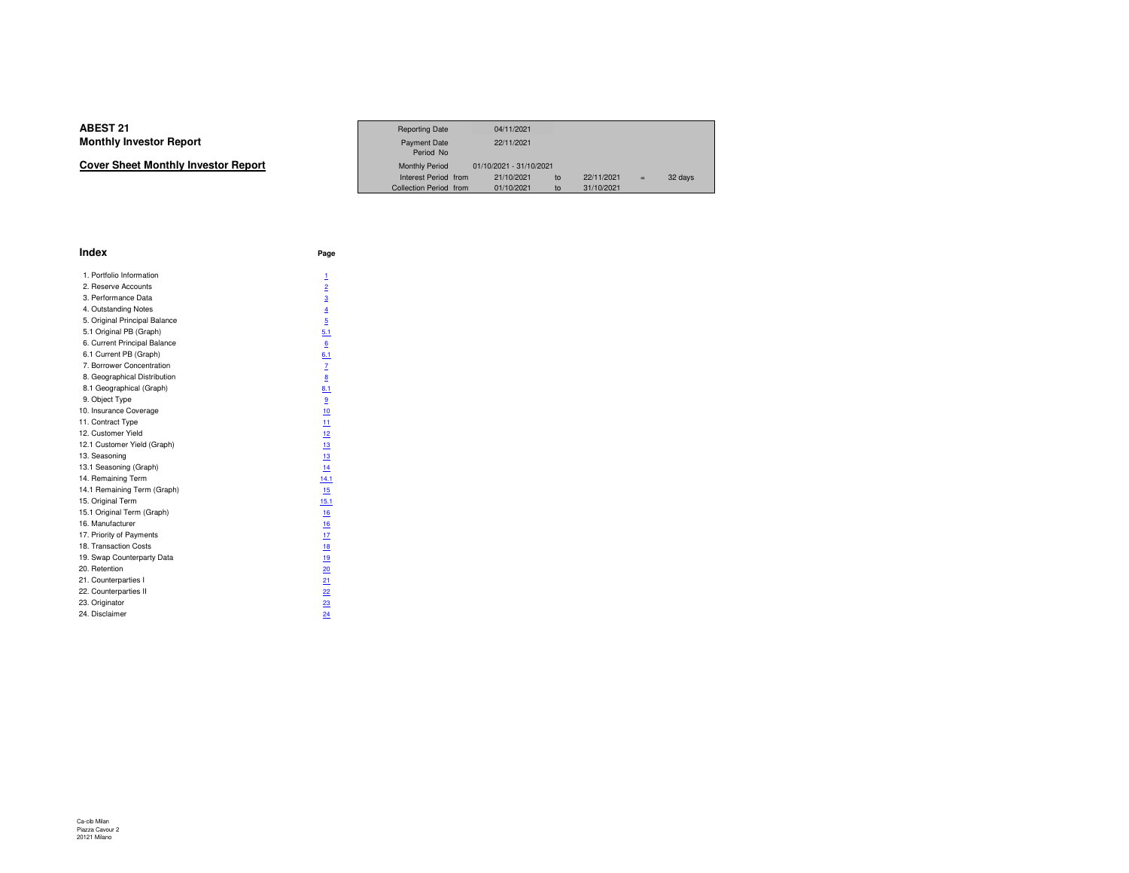| Cover Sheet Monthly Investor Report |  |
|-------------------------------------|--|
|-------------------------------------|--|

|                             | <b>Reporting Date</b>            | 04/11/2021              |            |     |         |  |
|-----------------------------|----------------------------------|-------------------------|------------|-----|---------|--|
| Investor Report             | <b>Payment Date</b><br>Period No | 22/11/2021              |            |     |         |  |
| eet Monthly Investor Report | <b>Monthly Period</b>            | 01/10/2021 - 31/10/2021 |            |     |         |  |
|                             | Interest Period from             | 21/10/2021<br>to        | 22/11/2021 | $=$ | 32 days |  |
|                             | <b>Collection Period from</b>    | 01/10/2021<br>to        | 31/10/2021 |     |         |  |

| <b>Index</b>                  | Page             |
|-------------------------------|------------------|
| 1. Portfolio Information      | 1                |
| 2. Reserve Accounts           | $\overline{2}$   |
| 3. Performance Data           | $\overline{3}$   |
| 4. Outstanding Notes          | $\overline{4}$   |
| 5. Original Principal Balance | 5                |
| 5.1 Original PB (Graph)       | 5.1              |
| 6. Current Principal Balance  | $6 \overline{6}$ |
| 6.1 Current PB (Graph)        | 6.1              |
| 7. Borrower Concentration     | z                |
| 8. Geographical Distribution  | 8                |
| 8.1 Geographical (Graph)      | 8.1              |
| 9. Object Type                | 9                |
| 10. Insurance Coverage        | 10               |
| 11. Contract Type             | 11               |
| 12. Customer Yield            | 12               |
| 12.1 Customer Yield (Graph)   | 13               |
| 13. Seasoning                 | 13               |
| 13.1 Seasoning (Graph)        | 14               |
| 14. Remaining Term            | 14.1             |
| 14.1 Remaining Term (Graph)   | 15               |
| 15. Original Term             | 15.1             |
| 15.1 Original Term (Graph)    | 16               |
| 16. Manufacturer              | 16               |
| 17. Priority of Payments      | 17               |
| 18. Transaction Costs         | 18               |
| 19. Swap Counterparty Data    | 19               |
| 20. Retention                 | 20               |
| 21. Counterparties I          | 21               |
| 22. Counterparties II         | 22               |
| 23. Originator                | 23               |
| 24. Disclaimer                | 24               |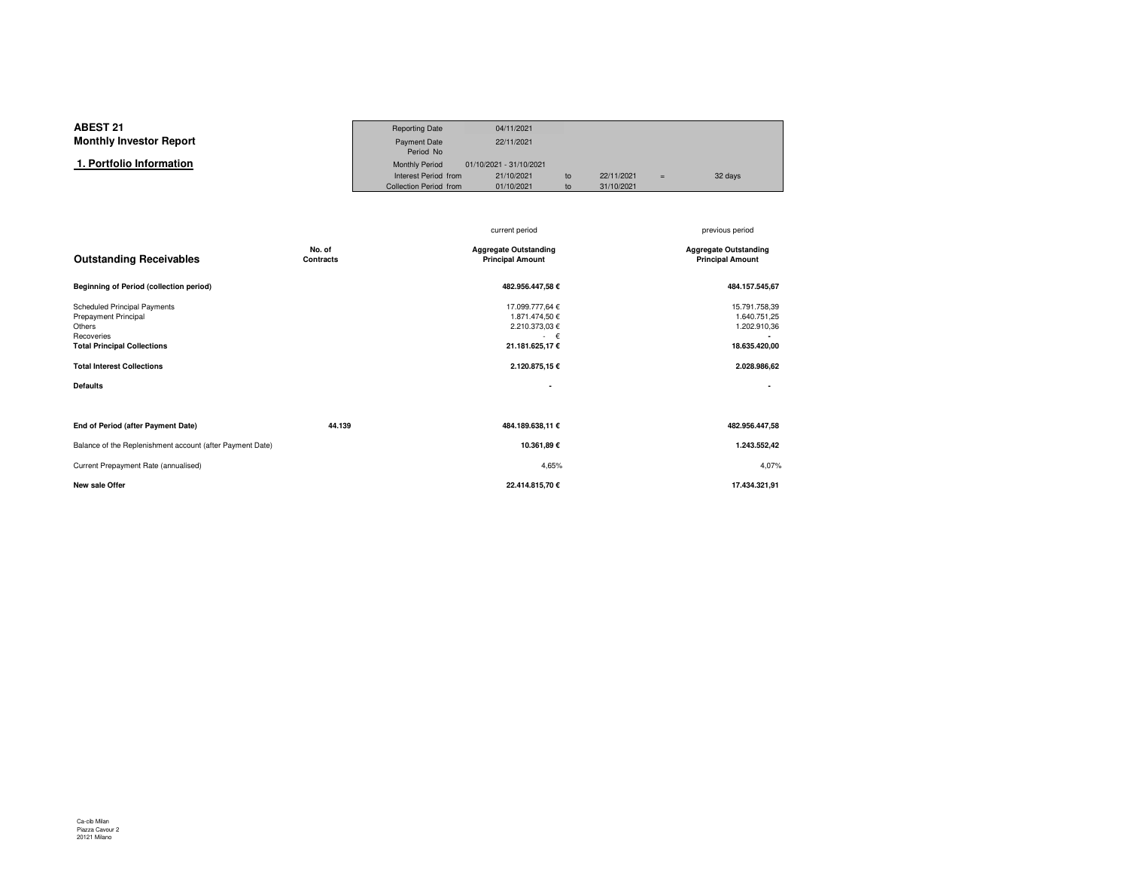#### **ABEST 21**Reporting Date 04/11/2021<br>Payment Date 22/11/2021 **Monthly Investor Report**Payment Date Period NoMonthly Period 01/10/2021 - 31/10/2021  **1. Portfolio Information**Interest Period from 21/10/2021 to 22/11/2021 <sup>=</sup> 32 daysCollection Period from

|                                                                                                                                                                |        | current period                                                                              | previous period                                                                |
|----------------------------------------------------------------------------------------------------------------------------------------------------------------|--------|---------------------------------------------------------------------------------------------|--------------------------------------------------------------------------------|
| No. of<br><b>Outstanding Receivables</b><br><b>Contracts</b>                                                                                                   |        | <b>Aggregate Outstanding</b><br><b>Principal Amount</b>                                     | <b>Aggregate Outstanding</b><br><b>Principal Amount</b>                        |
| <b>Beginning of Period (collection period)</b>                                                                                                                 |        | 482.956.447,58 €                                                                            | 484.157.545,67                                                                 |
| <b>Scheduled Principal Payments</b><br>Prepayment Principal<br>Others<br>Recoveries<br><b>Total Principal Collections</b><br><b>Total Interest Collections</b> |        | 17.099.777,64 €<br>1.871.474,50 €<br>2.210.373,03 €<br>€<br>21.181.625,17€<br>2.120.875,15€ | 15.791.758,39<br>1.640.751,25<br>1.202.910,36<br>18.635.420,00<br>2.028.986,62 |
| <b>Defaults</b>                                                                                                                                                |        | ٠                                                                                           |                                                                                |
|                                                                                                                                                                |        |                                                                                             |                                                                                |
| End of Period (after Payment Date)                                                                                                                             | 44.139 | 484.189.638,11 €                                                                            | 482.956.447,58                                                                 |
| Balance of the Replenishment account (after Payment Date)                                                                                                      |        | 10.361,89€                                                                                  | 1.243.552,42                                                                   |
| Current Prepayment Rate (annualised)                                                                                                                           |        | 4,65%                                                                                       | 4,07%                                                                          |
| <b>New sale Offer</b>                                                                                                                                          |        | 22.414.815,70 €                                                                             | 17.434.321,91                                                                  |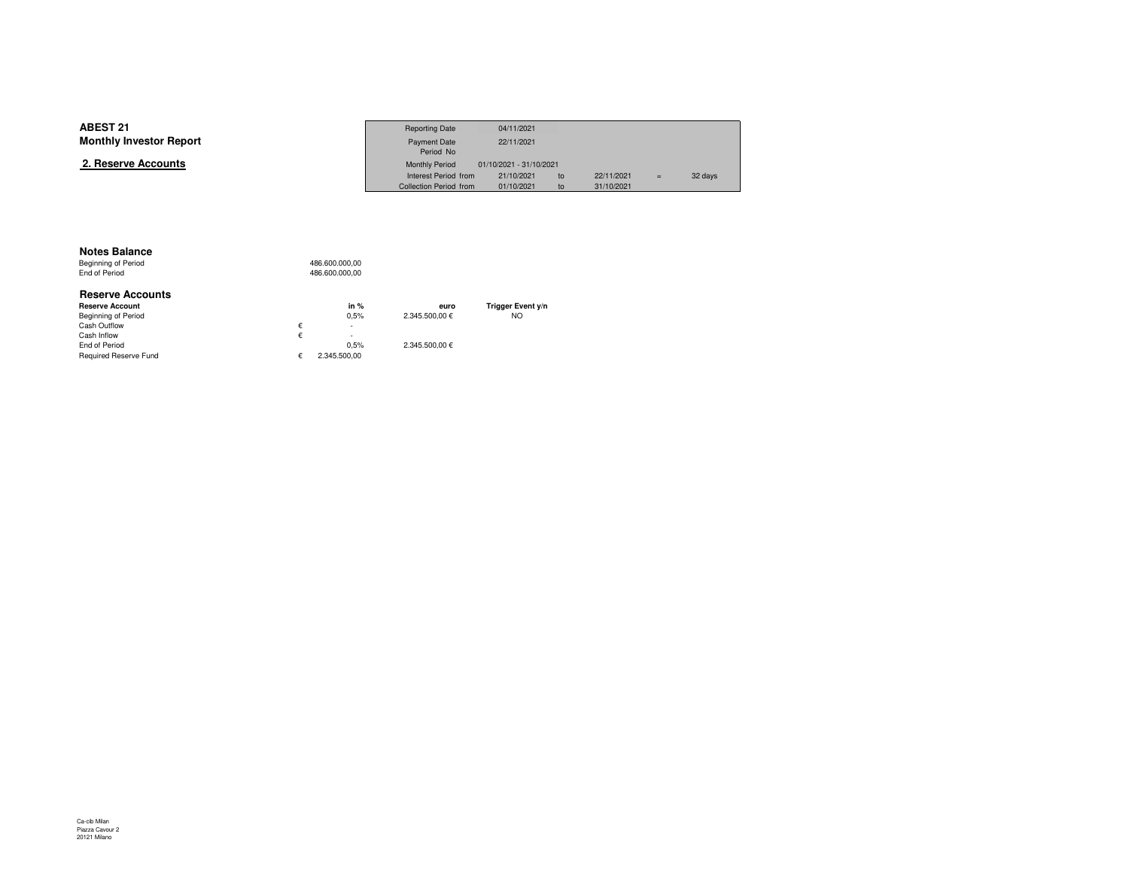| <b>ABEST 21</b>                | <b>Reporting Date</b>  | 04/11/2021              |    |            |     |         |
|--------------------------------|------------------------|-------------------------|----|------------|-----|---------|
| <b>Monthly Investor Report</b> | Payment Date           | 22/11/2021              |    |            |     |         |
|                                | Period No              |                         |    |            |     |         |
| 2. Reserve Accounts            | <b>Monthly Period</b>  | 01/10/2021 - 31/10/2021 |    |            |     |         |
|                                | Interest Period from   | 21/10/2021              | to | 22/11/2021 | $=$ | 32 days |
|                                | Collection Period from | 01/10/2021              | to | 31/10/2021 |     |         |

#### **Notes Balance**

Beginning of Period<br>End of Period 486.600.000,00 486.600.000,00

| <b>Reserve Accounts</b> |   |              |                |                   |
|-------------------------|---|--------------|----------------|-------------------|
| <b>Reserve Account</b>  |   | in $%$       | euro           | Trigger Event y/n |
| Beginning of Period     |   | 0.5%         | 2.345.500.00 € | NO.               |
| Cash Outflow            | € | ٠            |                |                   |
| Cash Inflow             | € | ۰            |                |                   |
| End of Period           |   | 0.5%         | 2.345.500.00 € |                   |
| Required Reserve Fund   |   | 2.345.500.00 |                |                   |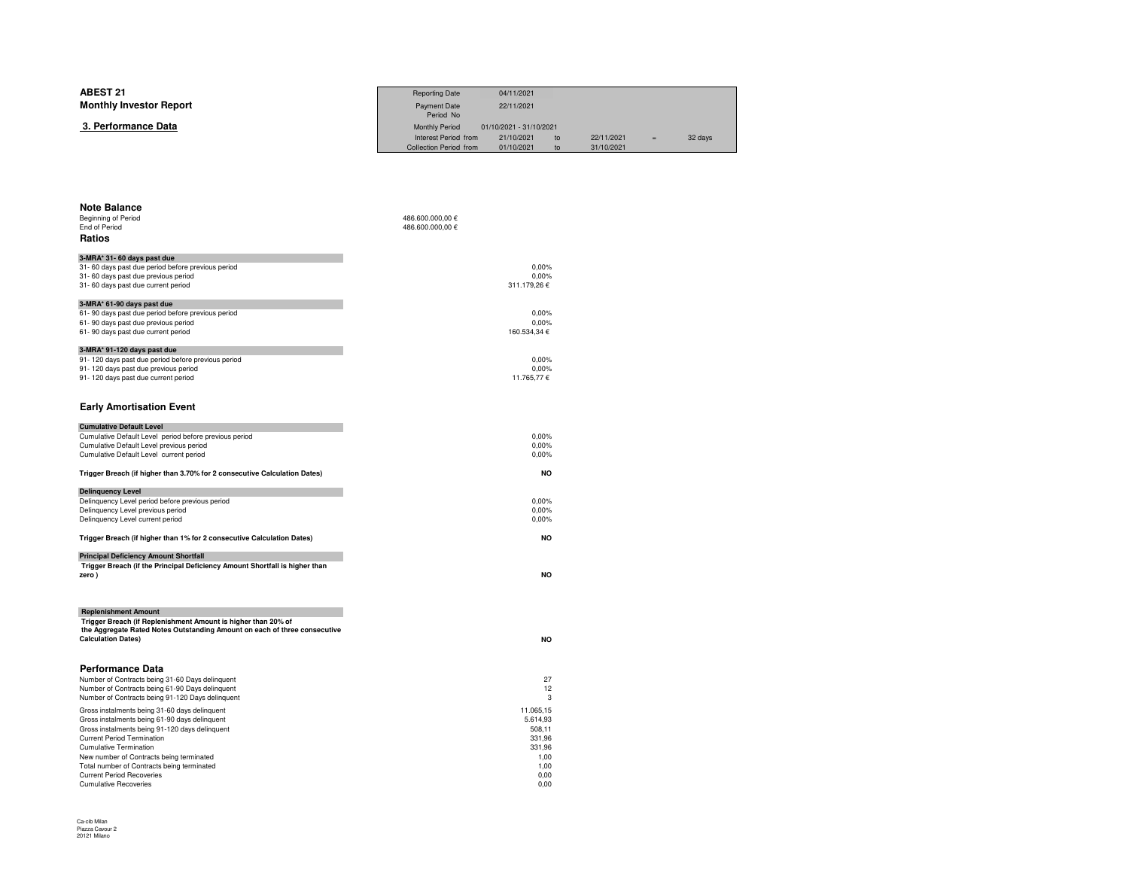| <b>ABEST 21</b><br><b>Monthly Investor Report</b> | <b>Reporting Date</b><br>Payment Date<br>Period No | 04/11/2021<br>22/11/2021              |    |            |     |         |
|---------------------------------------------------|----------------------------------------------------|---------------------------------------|----|------------|-----|---------|
| 3. Performance Data                               | <b>Monthly Period</b><br>Interest Period from      | 01/10/2021 - 31/10/2021<br>21/10/2021 | to | 22/11/2021 | $=$ | 32 days |
|                                                   | Collection Period from                             | 01/10/2021                            | to | 31/10/2021 |     |         |
|                                                   |                                                    |                                       |    |            |     |         |
|                                                   |                                                    |                                       |    |            |     |         |

| Beginning of Period                                                         | 486.600.000,00 € |
|-----------------------------------------------------------------------------|------------------|
| End of Period                                                               | 486.600.000,00 € |
| <b>Ratios</b>                                                               |                  |
| 3-MRA* 31-60 days past due                                                  |                  |
| 31-60 days past due period before previous period                           | 0.00%            |
| 31-60 days past due previous period                                         | 0,00%            |
| 31-60 days past due current period                                          | 311.179,26€      |
| 3-MRA* 61-90 days past due                                                  |                  |
| 61-90 days past due period before previous period                           | 0.00%            |
| 61-90 days past due previous period                                         | 0,00%            |
| 61-90 days past due current period                                          | 160.534,34 €     |
| 3-MRA* 91-120 days past due                                                 |                  |
| 91-120 days past due period before previous period                          | 0.00%            |
| 91-120 days past due previous period                                        | 0.00%            |
| 91-120 days past due current period                                         | 11.765,77 €      |
|                                                                             |                  |
| <b>Early Amortisation Event</b>                                             |                  |
| <b>Cumulative Default Level</b>                                             |                  |
| Cumulative Default Level period before previous period                      | 0.00%            |
| Cumulative Default Level previous period                                    | 0,00%            |
| Cumulative Default Level current period                                     | 0,00%            |
|                                                                             | <b>NO</b>        |
| Trigger Breach (if higher than 3.70% for 2 consecutive Calculation Dates)   |                  |
| <b>Delinquency Level</b>                                                    |                  |
| Delinquency Level period before previous period                             | 0,00%            |
| Delinquency Level previous period                                           | 0,00%            |
| Delinquency Level current period                                            | 0,00%            |
| Trigger Breach (if higher than 1% for 2 consecutive Calculation Dates)      | <b>NO</b>        |
| <b>Principal Deficiency Amount Shortfall</b>                                |                  |
| Trigger Breach (if the Principal Deficiency Amount Shortfall is higher than |                  |
| zero)                                                                       | <b>NO</b>        |
|                                                                             |                  |
| <b>Replenishment Amount</b>                                                 |                  |
| Trigger Breach (if Replenishment Amount is higher than 20% of               |                  |
| the Aggregate Rated Notes Outstanding Amount on each of three consecutive   |                  |
| <b>Calculation Dates)</b>                                                   | <b>NO</b>        |
|                                                                             |                  |
| <b>Performance Data</b>                                                     |                  |
| Number of Contracts being 31-60 Days delinguent                             | 27               |
| Number of Contracts being 61-90 Days delinguent                             | 12               |
| Number of Contracts being 91-120 Days delinquent                            | 3                |
| Gross instalments being 31-60 days delinquent                               | 11.065,15        |
| Gross instalments being 61-90 days delinquent                               | 5.614,93         |
| Gross instalments being 91-120 days delinquent                              | 508,11           |
| <b>Current Period Termination</b>                                           | 331,96           |
| <b>Cumulative Termination</b>                                               | 331,96           |
| New number of Contracts being terminated                                    | 1,00             |
| Total number of Contracts being terminated                                  | 1,00             |
| <b>Current Period Recoveries</b>                                            | 0.00             |
| <b>Cumulative Recoveries</b>                                                | 0.00             |

 $\sim$  0,00

**Note Balance**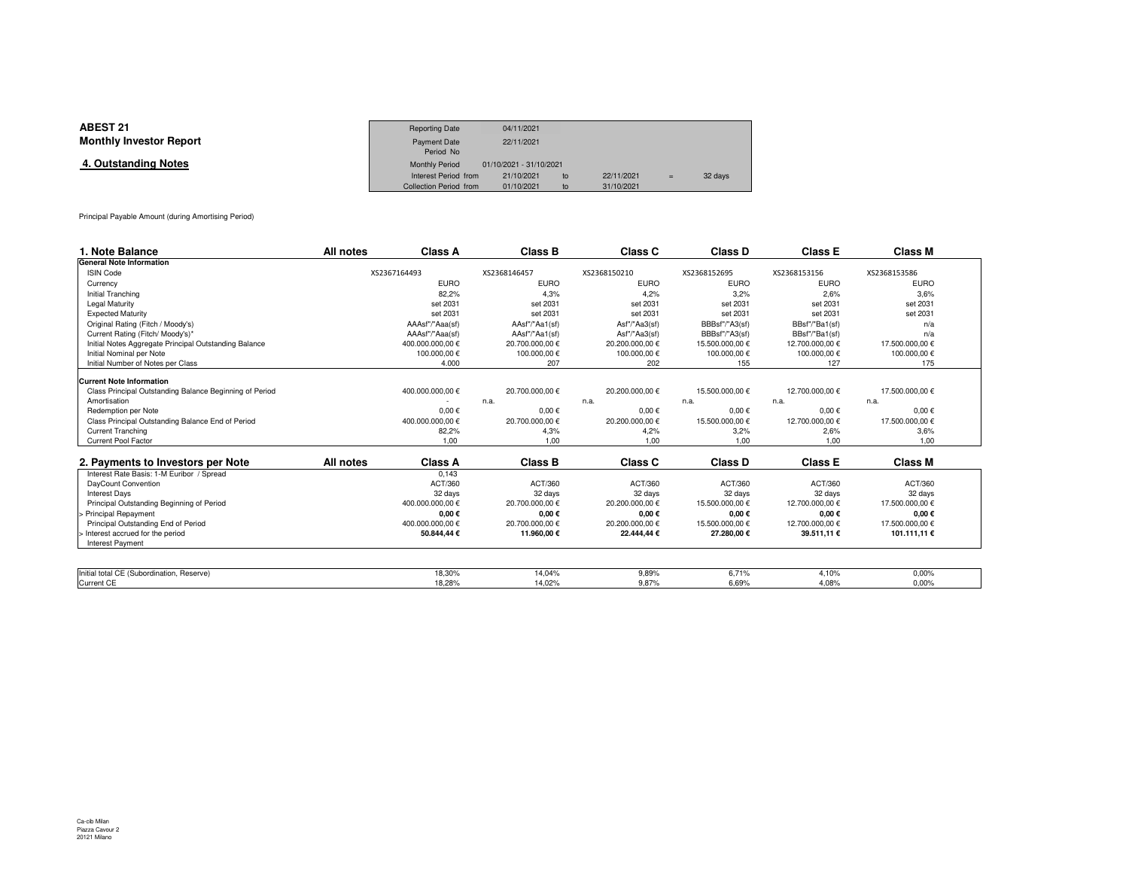| <b>ABEST 21</b>                | <b>Reporting Date</b>  | 04/11/2021              |    |            |     |         |
|--------------------------------|------------------------|-------------------------|----|------------|-----|---------|
| <b>Monthly Investor Report</b> | <b>Payment Date</b>    | 22/11/2021              |    |            |     |         |
|                                | Period No              |                         |    |            |     |         |
| 4. Outstanding Notes           | <b>Monthly Period</b>  | 01/10/2021 - 31/10/2021 |    |            |     |         |
|                                | Interest Period from   | 21/10/2021              | to | 22/11/2021 | $=$ | 32 days |
|                                | Collection Period from | 01/10/2021              | to | 31/10/2021 |     |         |

Principal Payable Amount (during Amortising Period)

| 1. Note Balance                                         | All notes    | <b>Class A</b>   | <b>Class B</b>  | Class C         | Class D         | <b>Class E</b>  | <b>Class M</b>  |  |
|---------------------------------------------------------|--------------|------------------|-----------------|-----------------|-----------------|-----------------|-----------------|--|
| <b>General Note Information</b>                         |              |                  |                 |                 |                 |                 |                 |  |
| <b>ISIN Code</b>                                        | XS2367164493 |                  | XS2368146457    | XS2368150210    | XS2368152695    | XS2368153156    | XS2368153586    |  |
| Currency                                                |              | <b>EURO</b>      | <b>EURO</b>     | <b>EURO</b>     | <b>EURO</b>     | <b>EURO</b>     | <b>EURO</b>     |  |
| Initial Tranching                                       |              | 82.2%            | 4.3%            | 4.2%            | 3.2%            | 2,6%            | 3.6%            |  |
| Legal Maturity                                          |              | set 2031         | set 2031        | set 2031        | set 2031        | set 2031        | set 2031        |  |
| <b>Expected Maturity</b>                                |              | set 2031         | set 2031        | set 2031        | set 2031        | set 2031        | set 2031        |  |
| Original Rating (Fitch / Moody's)                       |              | AAAsf"/"Aaa(sf)  | AAsf"/"Aa1(sf)  | Asf"/"Aa3(sf)   | BBBsf"/"A3(sf)  | BBsf"/"Ba1(sf)  | n/a             |  |
| Current Rating (Fitch/ Moody's)*                        |              | AAAsf"/"Aaa(sf)  | AAsf"/"Aa1(sf)  | Asf"/"Aa3(sf)   | BBBsf"/"A3(sf)  | BBsf"/"Ba1(sf)  | n/a             |  |
| Initial Notes Aggregate Principal Outstanding Balance   |              | 400.000.000,00 € | 20.700.000,00 € | 20.200.000,00 € | 15.500.000,00 € | 12.700.000,00 € | 17.500.000,00 € |  |
| Initial Nominal per Note                                |              | 100.000,00 €     | 100.000,00 €    | 100.000,00€     | 100.000,00€     | 100.000,00 €    | 100.000,00 €    |  |
| Initial Number of Notes per Class                       |              | 4.000            | 207             | 202             | 155             | 127             | 175             |  |
| <b>Current Note Information</b>                         |              |                  |                 |                 |                 |                 |                 |  |
| Class Principal Outstanding Balance Beginning of Period |              | 400.000.000,00 € | 20.700.000,00 € | 20.200.000,00 € | 15.500.000,00 € | 12.700.000,00 € | 17.500.000,00 € |  |
| Amortisation                                            |              |                  | n.a.            | n.a.            | n.a.            | n.a.            | n.a.            |  |
| Redemption per Note                                     |              | $0,00 \in$       | $0,00 \in$      | $0.00 \in$      | $0.00 \in$      | $0,00 \in$      | $0.00 \in$      |  |
| Class Principal Outstanding Balance End of Period       |              | 400.000.000,00 € | 20.700.000,00 € | 20.200.000,00 € | 15.500.000,00 € | 12.700.000,00 € | 17.500.000,00 € |  |
| <b>Current Tranching</b>                                |              | 82,2%            | 4,3%            | 4,2%            | 3,2%            | 2,6%            | 3,6%            |  |
| Current Pool Factor                                     |              | 1,00             | 1.00            | 1.00            | 1.00            | 1,00            | 1.00            |  |
| 2. Payments to Investors per Note                       | All notes    | Class A          | <b>Class B</b>  | Class C         | Class D         | <b>Class E</b>  | <b>Class M</b>  |  |
| Interest Rate Basis: 1-M Euribor / Spread               |              | 0.143            |                 |                 |                 |                 |                 |  |
| DayCount Convention                                     |              | ACT/360          | ACT/360         | ACT/360         | ACT/360         | ACT/360         | ACT/360         |  |
| <b>Interest Days</b>                                    |              | 32 days          | 32 days         | 32 days         | 32 days         | 32 days         | 32 days         |  |
| Principal Outstanding Beginning of Period               |              | 400.000.000,00 € | 20.700.000,00 € | 20.200.000,00 € | 15.500.000,00 € | 12.700.000,00 € | 17.500.000,00 € |  |
| > Principal Repayment                                   |              | $0,00 \in$       | $0,00 \in$      | $0,00 \in$      | $0,00 \in$      | $0,00 \in$      | $0,00 \in$      |  |
| Principal Outstanding End of Period                     |              | 400.000.000.00 € | 20.700.000,00 € | 20.200.000,00 € | 15.500.000,00 € | 12.700.000,00 € | 17.500.000,00 € |  |
| > Interest accrued for the period                       |              | 50.844,44 €      | 11.960,00 €     | 22.444,44 €     | 27.280,00 €     | 39.511,11 €     | 101.111,11 €    |  |
| <b>Interest Payment</b>                                 |              |                  |                 |                 |                 |                 |                 |  |
|                                                         |              |                  |                 |                 |                 |                 |                 |  |
| Initial total CE (Subordination, Reserve)               |              | 18,30%           | 14.04%          | 9,89%           | 6,71%           | 4,10%           | 0,00%           |  |
| Current CE                                              |              | 18.28%           | 14.02%          | 9.87%           | 6.69%           | 4.08%           | 0.00%           |  |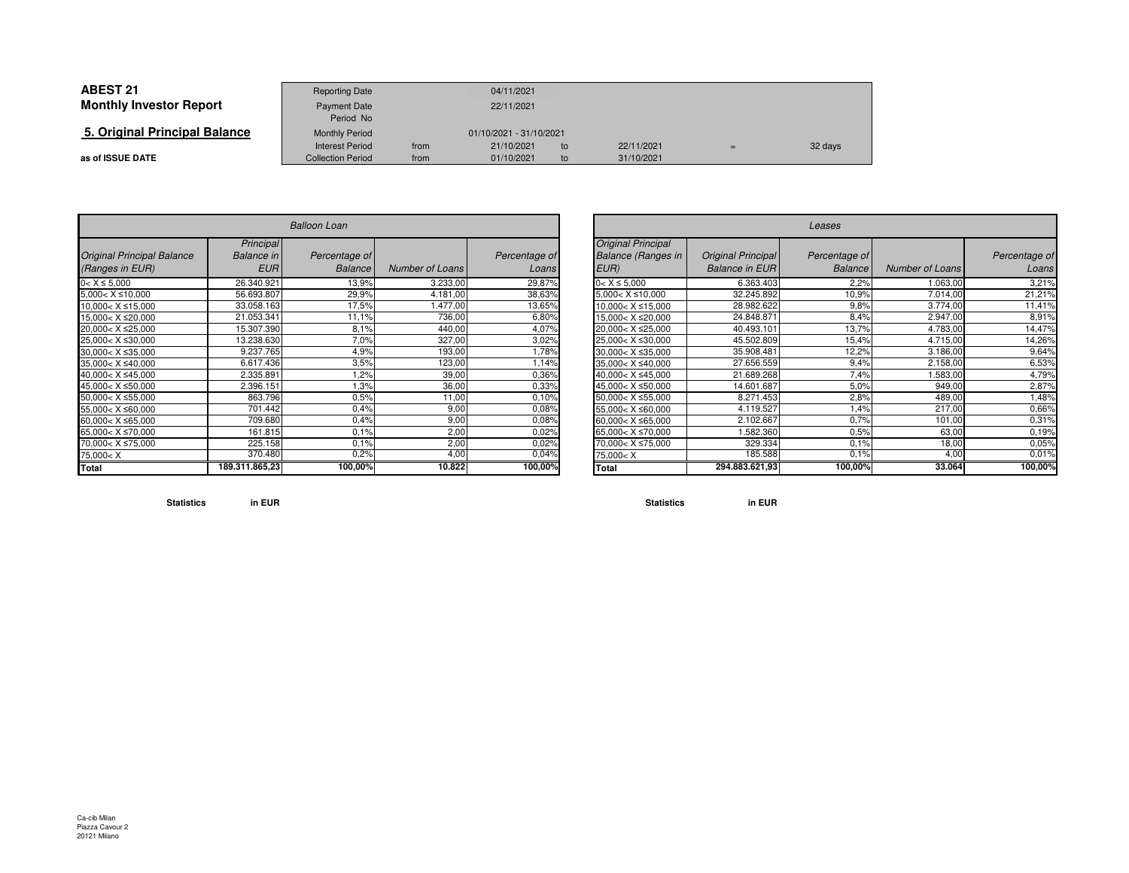| <b>ABEST 21</b>                | <b>Reporting Date</b>    |            | 04/11/2021              |    |            |   |         |
|--------------------------------|--------------------------|------------|-------------------------|----|------------|---|---------|
| <b>Monthly Investor Report</b> | <b>Payment Date</b>      | 22/11/2021 |                         |    |            |   |         |
|                                | Period No                |            |                         |    |            |   |         |
| 5. Original Principal Balance  | <b>Monthly Period</b>    |            | 01/10/2021 - 31/10/2021 |    |            |   |         |
|                                | <b>Interest Period</b>   | from       | 21/10/2021              | to | 22/11/2021 | E | 32 days |
| as of ISSUE DATE               | <b>Collection Period</b> | from       | 01/10/2021              | to | 31/10/2021 |   |         |

| <b>Balloon Loan</b>                                                            |                                              |                                 |                 |                        |  |  |  |
|--------------------------------------------------------------------------------|----------------------------------------------|---------------------------------|-----------------|------------------------|--|--|--|
| <b>Original Principal Balance</b><br>(Ranges in EUR)                           | Principal<br><b>Balance</b> in<br><b>EUR</b> | Percentage of<br><b>Balance</b> | Number of Loans | Percentage of<br>Loans |  |  |  |
| $0 < X \le 5,000$                                                              | 26.340.921                                   | 13,9%                           | 3.233,00        | 29,87%                 |  |  |  |
| $5,000 < X \le 10,000$                                                         | 56.693.807                                   | 29,9%                           | 4.181,00        | 38,63%                 |  |  |  |
| 10,000 < X ≤ 15,000                                                            | 33.058.163                                   | 17,5%                           | 1.477,00        | 13,65%                 |  |  |  |
| 15,000< X ≤20,000                                                              | 21.053.341                                   | 11,1%                           | 736,00          | 6,80%                  |  |  |  |
| 20,000< X ≤25,000                                                              | 15.307.390                                   | 8,1%                            | 440,00          | 4,07%                  |  |  |  |
| 25,000< X ≤30,000                                                              | 13.238.630                                   | 7,0%                            | 327,00          | 3,02%                  |  |  |  |
| $30,000 < X \leq 35,000$                                                       | 9.237.765                                    | 4,9%                            | 193,00          | 1,78%                  |  |  |  |
| 35,000< X ≤40,000                                                              | 6.617.436                                    | 3,5%                            | 123,00          | 1,14%                  |  |  |  |
| 40,000< X ≤45,000                                                              | 2.335.891                                    | 1,2%                            | 39,00           | 0,36%                  |  |  |  |
| 45,000< X ≤50,000                                                              | 2.396.151                                    | 1,3%                            | 36,00           | 0,33%                  |  |  |  |
| $50,000 < X \le 55,000$                                                        | 863.796                                      | 0.5%                            | 11,00           | 0,10%                  |  |  |  |
| 55,000< X ≤60,000                                                              | 701.442                                      | 0,4%                            | 9,00            | 0,08%                  |  |  |  |
| 60,000< X ≤65,000                                                              | 709.680                                      | 0.4%                            | 9,00            | 0,08%                  |  |  |  |
| 65,000< X ≤70,000                                                              | 161.815                                      | 0,1%                            | 2,00            | 0,02%                  |  |  |  |
| 70,000< X ≤75,000                                                              | 225.158                                      | 0.1%                            | 2,00            | 0,02%                  |  |  |  |
| 75,000 <x< td=""><td>370.480</td><td>0.2%</td><td>4,00</td><td>0,04%</td></x<> | 370.480                                      | 0.2%                            | 4,00            | 0,04%                  |  |  |  |
| <b>Total</b>                                                                   | 189.311.865,23                               | 100,00%                         | 10.822          | 100,00%                |  |  |  |

| $\overline{r}$    |                        |                        |                                                                                | Leases                                             |                                 |                 |                        |  |  |  |  |  |
|-------------------|------------------------|------------------------|--------------------------------------------------------------------------------|----------------------------------------------------|---------------------------------|-----------------|------------------------|--|--|--|--|--|
| tage of<br>alance | <b>Number of Loans</b> | Percentage of<br>Loans | <b>Original Principal</b><br><b>Balance (Ranges in</b><br>EUR)                 | <b>Original Principal</b><br><b>Balance in EUR</b> | Percentage of<br><b>Balance</b> | Number of Loans | Percentage of<br>Loans |  |  |  |  |  |
| 13,9%             | 3.233,00               | 29,87%                 | $0 < X \le 5,000$                                                              | 6.363.403                                          | 2.2%                            | 1.063,00        | 3,21%                  |  |  |  |  |  |
| 29,9%             | 4.181,00               | 38,63%                 | $5,000 < X \le 10,000$                                                         | 32.245.892                                         | 10,9%                           | 7.014,00        | 21,21%                 |  |  |  |  |  |
| 17,5%             | .477,00                | 13,65%                 | $10.000 < X \le 15.000$                                                        | 28.982.622                                         | 9,8%                            | 3.774,00        | 11,41%                 |  |  |  |  |  |
| 11,1%             | 736,00                 | 6,80%                  | 15,000< X ≤20,000                                                              | 24.848.871                                         | 8,4%                            | 2.947,00        | 8,91%                  |  |  |  |  |  |
| 8.1%              | 440,00                 | 4,07%                  | 20,000< X ≤25,000                                                              | 40.493.101                                         | 13.7%                           | 4.783,00        | 14,47%                 |  |  |  |  |  |
| 7,0%              | 327,00                 | 3,02%                  | 25,000< X ≤30,000                                                              | 45.502.809                                         | 15,4%                           | 4.715,00        | 14,26%                 |  |  |  |  |  |
| 4,9%              | 193,00                 | 1,78%                  | $30.000 < X \leq 35.000$                                                       | 35.908.481                                         | 12,2%                           | 3.186,00        | 9,64%                  |  |  |  |  |  |
| 3,5%              | 123,00                 | 1.14%                  | 35,000< X ≤40,000                                                              | 27.656.559                                         | 9,4%                            | 2.158,00        | 6,53%                  |  |  |  |  |  |
| .2%               | 39,00                  | 0.36%                  | 40.000< X ≤45.000                                                              | 21.689.268                                         | 7,4%                            | 1.583,00        | 4,79%                  |  |  |  |  |  |
| 1,3%              | 36,00                  | 0,33%                  | 45,000< X ≤50,000                                                              | 14.601.687                                         | 5,0%                            | 949,00          | 2,87%                  |  |  |  |  |  |
| 0.5%              | 11,00                  | 0.10%                  | $50.000 < X \le 55.000$                                                        | 8.271.453                                          | 2,8%                            | 489,00          | .48%                   |  |  |  |  |  |
| 0.4%              | 9,00                   | 0.08%                  | 55,000< X ≤60,000                                                              | 4.119.527                                          | 1,4%                            | 217,00          | 0,66%                  |  |  |  |  |  |
| 0.4%              | 9,00                   | 0.08%                  | $60,000 < X \leq 65,000$                                                       | 2.102.667                                          | 0.7%                            | 101,00          | 0,31%                  |  |  |  |  |  |
| 0.1%              | 2,00                   | 0.02%                  | 65,000< X ≤70,000                                                              | .582.360                                           | 0.5%                            | 63,00           | 0.19%                  |  |  |  |  |  |
| 0.1%              | 2,00                   | 0.02%                  | 70,000< X ≤75,000                                                              | 329.334                                            | 0.1%                            | 18,00           | 0,05%                  |  |  |  |  |  |
| 0,2%              | 4,00                   | 0,04%                  | 75,000 <x< td=""><td>185.588</td><td>0.1%</td><td>4,00</td><td>0,01%</td></x<> | 185.588                                            | 0.1%                            | 4,00            | 0,01%                  |  |  |  |  |  |
| 00,00%            | 10.822                 | 100,00%                | Total                                                                          | 294.883.621,93                                     | 100,00%                         | 33.064          | 100,00%                |  |  |  |  |  |

**Statistics in EUR**

**Statistics in EUR**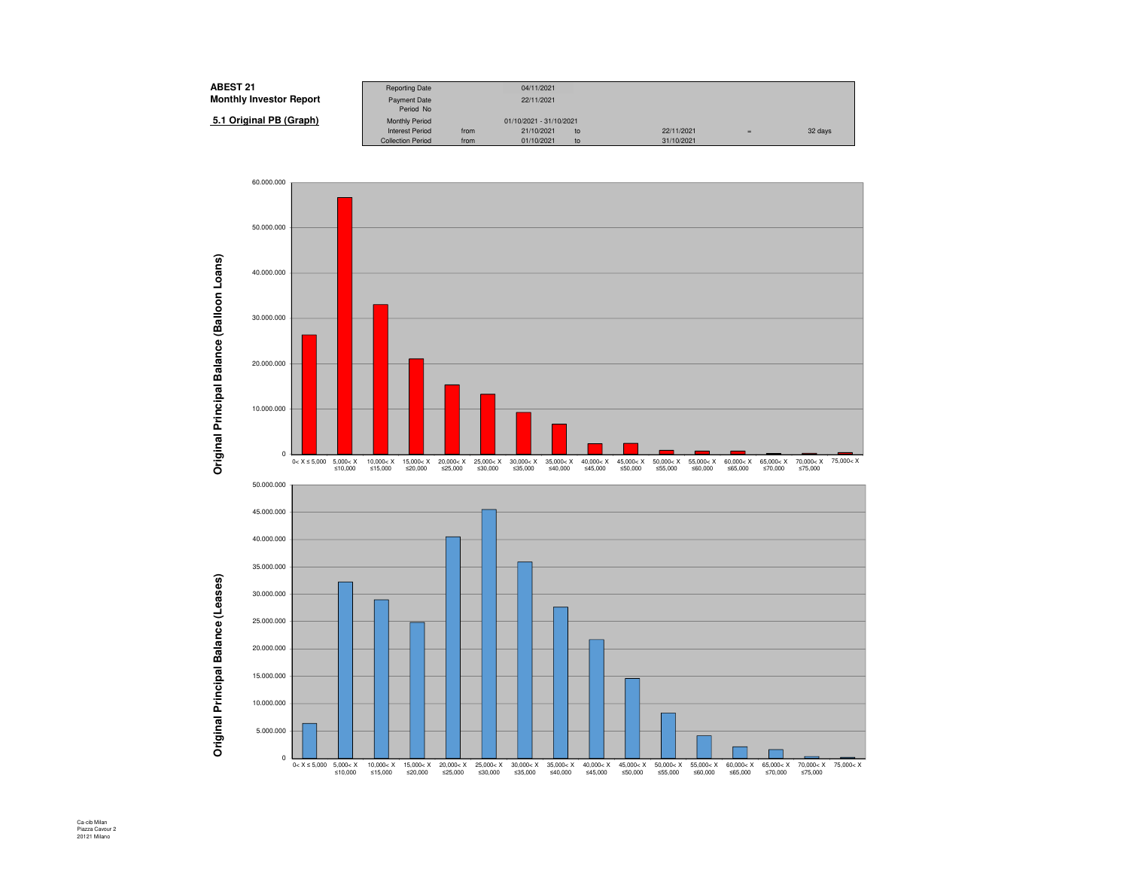| <b>ABEST 21</b>                | <b>Reporting Date</b>    |      | 04/11/2021              |    |            |     |         |
|--------------------------------|--------------------------|------|-------------------------|----|------------|-----|---------|
| <b>Monthly Investor Report</b> | Payment Date             |      | 22/11/2021              |    |            |     |         |
|                                | Period No                |      |                         |    |            |     |         |
| 5.1 Original PB (Graph)        | <b>Monthly Period</b>    |      | 01/10/2021 - 31/10/2021 |    |            |     |         |
|                                | <b>Interest Period</b>   | from | 21/10/2021              | to | 22/11/2021 | $=$ | 32 days |
|                                | <b>Collection Period</b> | from | 01/10/2021              | to | 31/10/2021 |     |         |



Ca-cib Milan Piazza Cavour 2 20121 Milano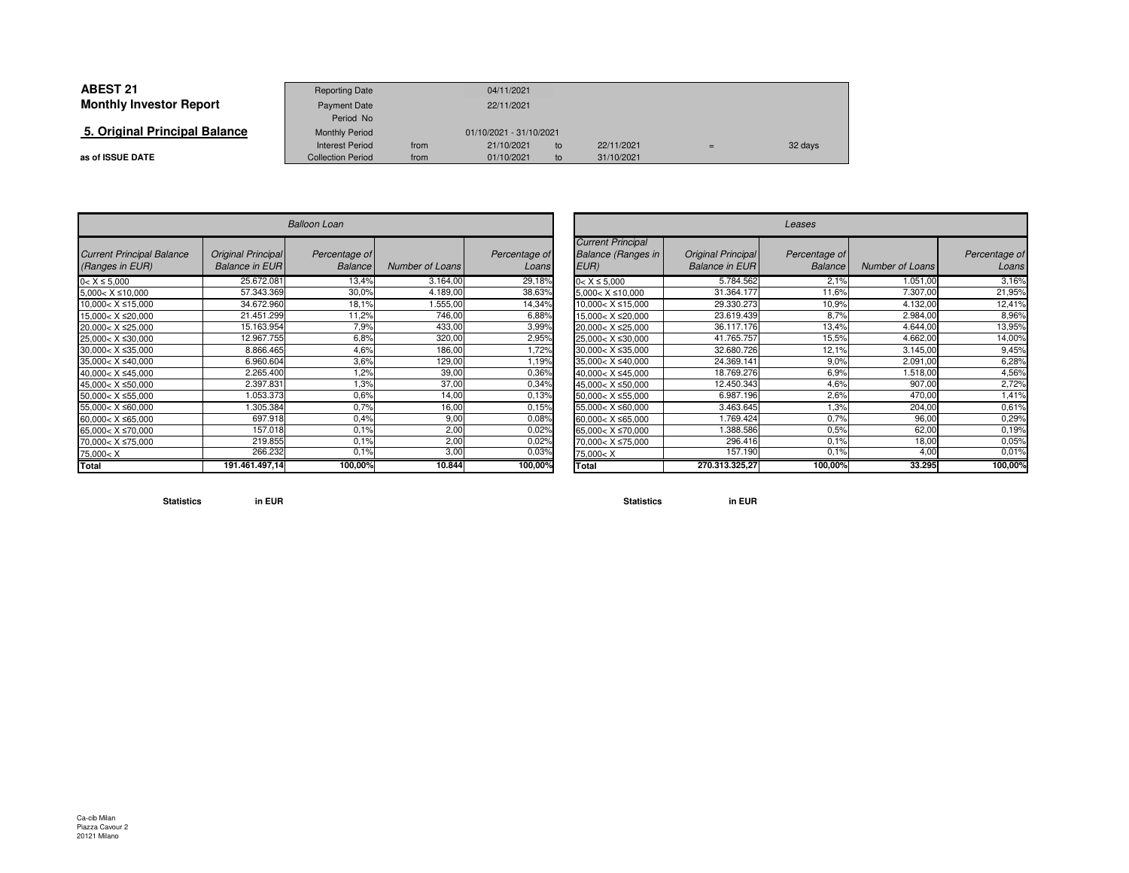| <b>ABEST 21</b>                | <b>Reporting Date</b>    |            | 04/11/2021              |    |            |     |         |
|--------------------------------|--------------------------|------------|-------------------------|----|------------|-----|---------|
| <b>Monthly Investor Report</b> | <b>Payment Date</b>      | 22/11/2021 |                         |    |            |     |         |
|                                | Period No                |            |                         |    |            |     |         |
| 5. Original Principal Balance  | <b>Monthly Period</b>    |            | 01/10/2021 - 31/10/2021 |    |            |     |         |
|                                | Interest Period          | from       | 21/10/2021              | to | 22/11/2021 | $=$ | 32 days |
| as of ISSUE DATE               | <b>Collection Period</b> | from       | 01/10/2021              | to | 31/10/2021 |     |         |

 $\sim$ 

|                                                                                | <b>Balloon Loan</b>                         |                                 |                 |                        |  |  |  |  |  |  |
|--------------------------------------------------------------------------------|---------------------------------------------|---------------------------------|-----------------|------------------------|--|--|--|--|--|--|
| <b>Current Principal Balance</b><br>(Ranges in EUR)                            | Original Principal<br><b>Balance in EUR</b> | Percentage of<br><b>Balance</b> | Number of Loans | Percentage of<br>Loans |  |  |  |  |  |  |
| $0 < X \le 5,000$                                                              | 25.672.081                                  | 13,4%                           | 3.164,00        | 29,18%                 |  |  |  |  |  |  |
| $5,000 < X \le 10,000$                                                         | 57.343.369                                  | 30,0%                           | 4.189,00        | 38,63%                 |  |  |  |  |  |  |
| $10,000 < X \leq 15,000$                                                       | 34.672.960                                  | 18,1%                           | 1.555,00        | 14,34%                 |  |  |  |  |  |  |
| 15,000< X ≤20,000                                                              | 21.451.299                                  | 11,2%                           | 746,00          | 6,88%                  |  |  |  |  |  |  |
| 20,000< X ≤25,000                                                              | 15.163.954                                  | 7,9%                            | 433,00          | 3,99%                  |  |  |  |  |  |  |
| 25,000< X ≤30,000                                                              | 12.967.755                                  | 6,8%                            | 320,00          | 2,95%                  |  |  |  |  |  |  |
| 30,000< X ≤35,000                                                              | 8.866.465                                   | 4,6%                            | 186,00          | 1,72%                  |  |  |  |  |  |  |
| 35.000< X ≤40.000                                                              | 6.960.604                                   | 3.6%                            | 129,00          | 1,19%                  |  |  |  |  |  |  |
| 40,000< X ≤45,000                                                              | 2.265.400                                   | 1,2%                            | 39,00           | 0,36%                  |  |  |  |  |  |  |
| 45,000< X ≤50,000                                                              | 2.397.831                                   | 1,3%                            | 37,00           | 0,34%                  |  |  |  |  |  |  |
| 50,000< X ≤55,000                                                              | 1.053.373                                   | 0.6%                            | 14,00           | 0.13%                  |  |  |  |  |  |  |
| 55,000< X ≤60,000                                                              | 1.305.384                                   | 0.7%                            | 16,00           | 0.15%                  |  |  |  |  |  |  |
| 60,000< X ≤65,000                                                              | 697.918                                     | 0.4%                            | 9,00            | 0,08%                  |  |  |  |  |  |  |
| 65,000< X ≤70,000                                                              | 157.018                                     | 0.1%                            | 2,00            | 0,02%                  |  |  |  |  |  |  |
| 70,000< X ≤75,000                                                              | 219.855                                     | 0.1%                            | 2,00            | 0,02%                  |  |  |  |  |  |  |
| 75,000 <x< td=""><td>266.232</td><td>0.1%</td><td>3,00</td><td>0,03%</td></x<> | 266.232                                     | 0.1%                            | 3,00            | 0,03%                  |  |  |  |  |  |  |
| Total                                                                          | 191.461.497,14                              | 100,00%                         | 10.844          | 100,00%                |  |  |  |  |  |  |

| $\overline{r}$      |                 |                        |                                                                                 | Leases                                      |                                 |                 |                        |  |  |  |  |  |
|---------------------|-----------------|------------------------|---------------------------------------------------------------------------------|---------------------------------------------|---------------------------------|-----------------|------------------------|--|--|--|--|--|
| ntage of<br>Balance | Number of Loans | Percentage of<br>Loans | <b>Current Principal</b><br><b>Balance (Ranges in</b><br>EUR)                   | Original Principal<br><b>Balance in EUR</b> | Percentage of<br><b>Balance</b> | Number of Loans | Percentage of<br>Loans |  |  |  |  |  |
| 13,4%               | 3.164,00        | 29,18%                 | $0 < X \le 5,000$                                                               | 5.784.562                                   | 2.1%                            | 1.051,00        | 3,16%                  |  |  |  |  |  |
| 30,0%               | 4.189,00        | 38,63%                 | $5,000 < X \le 10,000$                                                          | 31.364.177                                  | 11,6%                           | 7.307,00        | 21,95%                 |  |  |  |  |  |
| 18,1%               | .555.00         | 14,34%                 | $10,000 < X \leq 15,000$                                                        | 29.330.273                                  | 10.9%                           | 4.132,00        | 12,41%                 |  |  |  |  |  |
| 11,2%               | 746,00          | 6,88%                  | 15,000< X ≤20,000                                                               | 23.619.439                                  | 8,7%                            | 2.984,00        | 8,96%                  |  |  |  |  |  |
| 7,9%                | 433,00          | 3,99%                  | 20,000< X ≤25,000                                                               | 36.117.176                                  | 13,4%                           | 4.644,00        | 13,95%                 |  |  |  |  |  |
| 6,8%                | 320,00          | 2,95%                  | 25,000< X ≤30,000                                                               | 41.765.757                                  | 15,5%                           | 4.662,00        | 14,00%                 |  |  |  |  |  |
| 4,6%                | 186,00          | 72%                    | $30,000 < X \leq 35,000$                                                        | 32.680.726                                  | 12,1%                           | 3.145,00        | 9,45%                  |  |  |  |  |  |
| 3,6%                | 129,00          | 1,19%                  | 35,000< X ≤40,000                                                               | 24.369.141                                  | 9.0%                            | 2.091,00        | 6,28%                  |  |  |  |  |  |
| .2%                 | 39,00           | 0,36%                  | 40,000< X ≤45,000                                                               | 18.769.276                                  | 6,9%                            | 1.518,00        | 4,56%                  |  |  |  |  |  |
| 1.3%                | 37,00           | 0,34%                  | 45.000< X ≤50.000                                                               | 12.450.343                                  | 4,6%                            | 907,00          | 2,72%                  |  |  |  |  |  |
| 0.6%                | 14,00           | 0,13%                  | 50,000< X ≤55,000                                                               | 6.987.196                                   | 2,6%                            | 470.00          | ,41%                   |  |  |  |  |  |
| 0.7%                | 16,00           | 0.15%                  | 55,000< X ≤60,000                                                               | 3.463.645                                   | 1,3%                            | 204,00          | 0,61%                  |  |  |  |  |  |
| 0.4%                | 9,00            | 0,08%                  | 60,000< X ≤65,000                                                               | 1.769.424                                   | 0.7%                            | 96,00           | 0,29%                  |  |  |  |  |  |
| 0.1%                | 2,00            | 0.02%                  | 65,000< X ≤70,000                                                               | .388.586                                    | 0,5%                            | 62,00           | 0.19%                  |  |  |  |  |  |
| 0.1%                | 2,00            | 0,02%                  | 70,000< X ≤75,000                                                               | 296.416                                     | 0.1%                            | 18,00           | 0,05%                  |  |  |  |  |  |
| $0.1\%$             | 3,00            | 0,03%                  | 75,000 <x< td=""><td>157.1901</td><td>0.1%</td><td>4,00</td><td>0,01%</td></x<> | 157.1901                                    | 0.1%                            | 4,00            | 0,01%                  |  |  |  |  |  |
| 100,00%             | 10.844          | 100,00%                | Total                                                                           | 270.313.325,27                              | 100,00%                         | 33.295          | 100,00%                |  |  |  |  |  |

**Statistics in EUR**

**Statistics in EUR**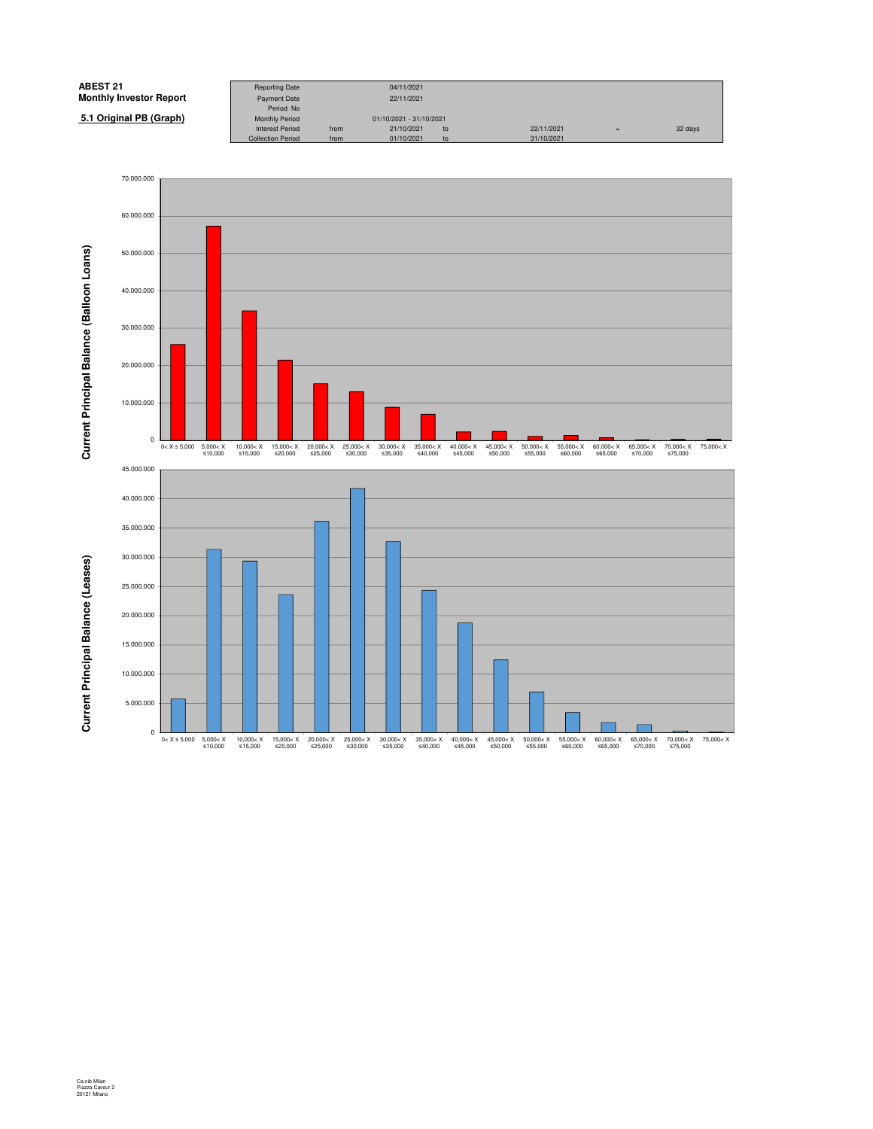

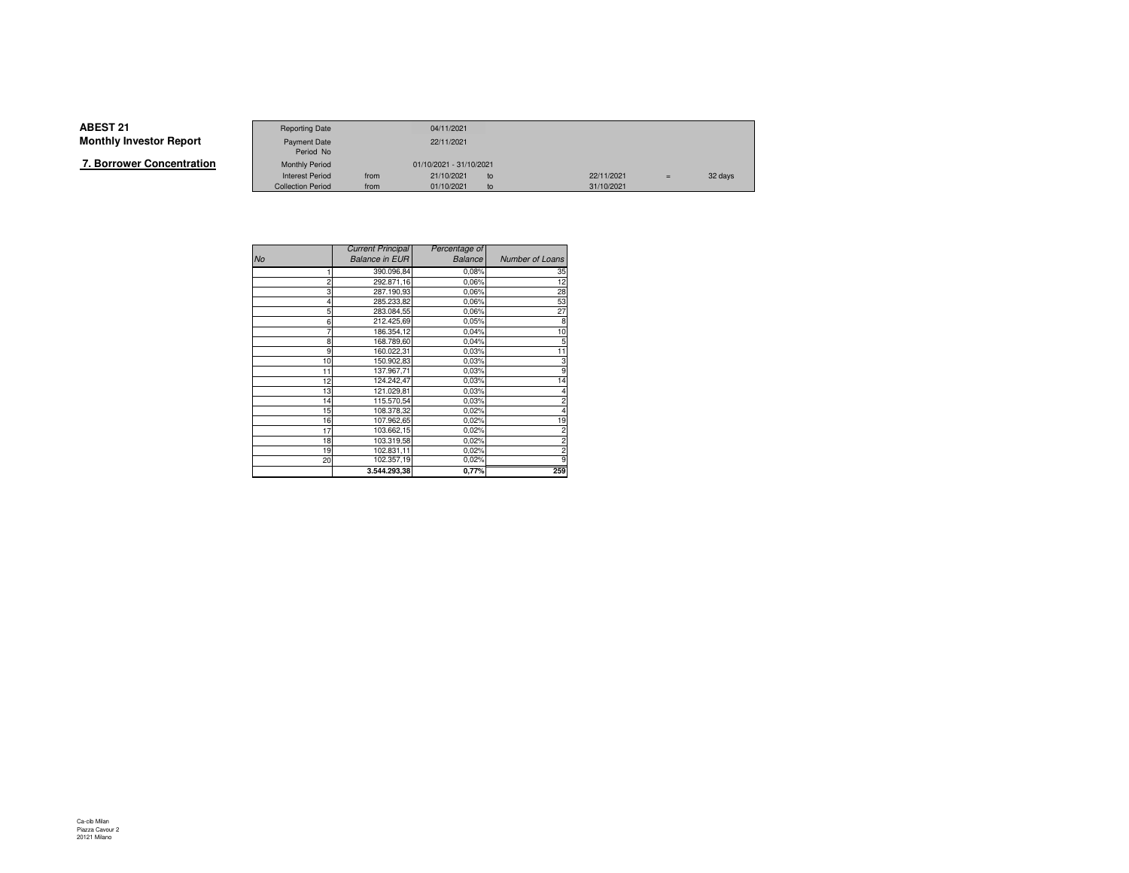|--|

|                   | <b>Reporting Date</b>    |      | 04/11/2021              |    |            |     |         |
|-------------------|--------------------------|------|-------------------------|----|------------|-----|---------|
| Investor Report   | <b>Payment Date</b>      |      | 22/11/2021              |    |            |     |         |
|                   | Period No                |      |                         |    |            |     |         |
| wer Concentration | <b>Monthly Period</b>    |      | 01/10/2021 - 31/10/2021 |    |            |     |         |
|                   | <b>Interest Period</b>   | from | 21/10/2021              | to | 22/11/2021 | $=$ | 32 days |
|                   | <b>Collection Period</b> | from | 01/10/2021              | to | 31/10/2021 |     |         |

|                | <b>Current Principal</b> | Percentage of  |                 |
|----------------|--------------------------|----------------|-----------------|
| No             | <b>Balance in EUR</b>    | <b>Balance</b> | Number of Loans |
|                | 390.096,84               | 0,08%          | 35              |
| $\overline{2}$ | 292.871,16               | 0.06%          | 12              |
| 3              | 287.190,93               | 0.06%          | 28              |
|                | 285.233,82               | 0.06%          | 53              |
| 5              | 283.084,55               | 0.06%          | 27              |
| 6              | 212.425,69               | 0.05%          | 8               |
|                | 186.354,12               | 0,04%          | 10              |
| 8              | 168.789,60               | 0,04%          | 5               |
| 9              | 160.022,31               | 0,03%          | 11              |
| 10             | 150.902,83               | 0.03%          | 3               |
| 11             | 137.967,71               | 0.03%          | 9               |
| 12             | 124.242,47               | 0.03%          | 14              |
| 13             | 121.029,81               | 0.03%          |                 |
| 14             | 115.570,54               | 0.03%          |                 |
| 15             | 108.378,32               | 0.02%          |                 |
| 16             | 107.962,65               | 0.02%          | 19              |
| 17             | 103.662,15               | 0.02%          | 2               |
| 18             | 103.319,58               | 0.02%          |                 |
| 19             | 102.831,11               | 0.02%          |                 |
| 20             | 102.357,19               | $0,02\%$       |                 |
|                | 3.544.293,38             | 0,77%          | 259             |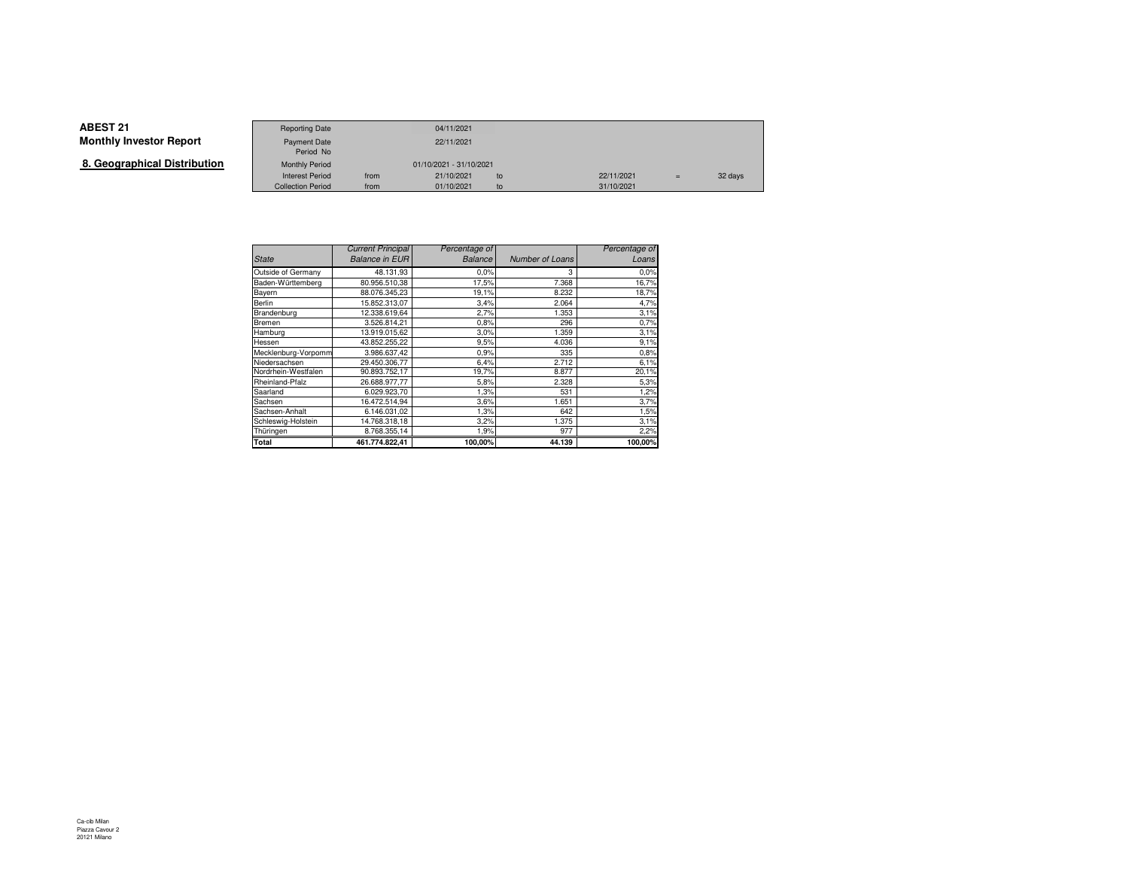# **ABEST 21**

| ABESI 21.                    | <b>Reporting Date</b>     |      | 04/11/2021              |    |            |     |         |
|------------------------------|---------------------------|------|-------------------------|----|------------|-----|---------|
| Monthly Investor Report      | Payment Date<br>Period No |      | 22/11/2021              |    |            |     |         |
| 8. Geographical Distribution | <b>Monthly Period</b>     |      | 01/10/2021 - 31/10/2021 |    |            |     |         |
|                              | <b>Interest Period</b>    | from | 21/10/2021              | to | 22/11/2021 | $=$ | 32 days |
|                              | <b>Collection Period</b>  | from | 01/10/2021              | to | 31/10/2021 |     |         |

|                     | <b>Current Principal</b> | Percentage of |                 | Percentage of |
|---------------------|--------------------------|---------------|-----------------|---------------|
| <b>State</b>        | <b>Balance in EUR</b>    | Balance       | Number of Loans | Loans         |
| Outside of Germany  | 48.131,93                | 0.0%          | 3               | 0.0%          |
| Baden-Württemberg   | 80.956.510,38            | 17,5%         | 7.368           | 16,7%         |
| Bayern              | 88.076.345.23            | 19,1%         | 8.232           | 18,7%         |
| Berlin              | 15.852.313.07            | 3,4%          | 2.064           | 4,7%          |
| Brandenburg         | 12.338.619,64            | 2,7%          | 1.353           | 3,1%          |
| Bremen              | 3.526.814,21             | 0.8%          | 296             | 0.7%          |
| Hamburg             | 13.919.015.62            | 3.0%          | 1.359           | 3,1%          |
| Hessen              | 43.852.255,22            | 9,5%          | 4.036           | 9,1%          |
| Mecklenburg-Vorpomm | 3.986.637,42             | 0,9%          | 335             | 0.8%          |
| Niedersachsen       | 29.450.306.77            | 6,4%          | 2.712           | 6,1%          |
| Nordrhein-Westfalen | 90.893.752,17            | 19,7%         | 8.877           | 20,1%         |
| Rheinland-Pfalz     | 26.688.977.77            | 5,8%          | 2.328           | 5,3%          |
| Saarland            | 6.029.923,70             | 1,3%          | 531             | 1,2%          |
| Sachsen             | 16.472.514.94            | 3,6%          | 1.651           | 3,7%          |
| Sachsen-Anhalt      | 6.146.031,02             | 1,3%          | 642             | 1,5%          |
| Schleswig-Holstein  | 14.768.318,18            | 3,2%          | 1.375           | 3,1%          |
| Thüringen           | 8.768.355,14             | 1,9%          | 977             | 2,2%          |
| Total               | 461.774.822.41           | 100.00%       | 44.139          | 100,00%       |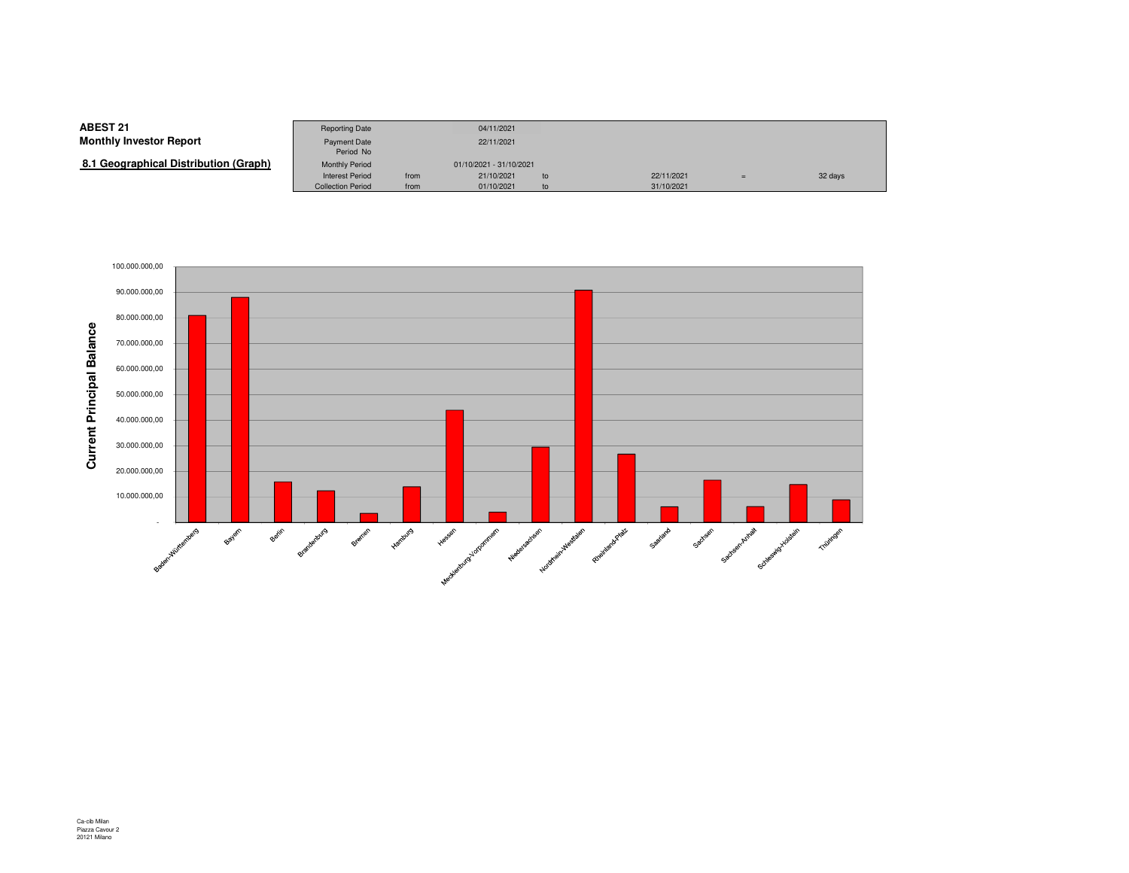**8.1 Geographical Distribution (Graph)**

|                                | <b>Reporting Date</b>     |      | 04/11/2021              |    |            |     |         |
|--------------------------------|---------------------------|------|-------------------------|----|------------|-----|---------|
| Investor Report                | Payment Date<br>Period No |      | 22/11/2021              |    |            |     |         |
| (Graphical Distribution (Graph | <b>Monthly Period</b>     |      | 01/10/2021 - 31/10/2021 |    |            |     |         |
|                                | <b>Interest Period</b>    | from | 21/10/2021              | to | 22/11/2021 | $=$ | 32 days |
|                                | <b>Collection Period</b>  | from | 01/10/2021              | to | 31/10/2021 |     |         |

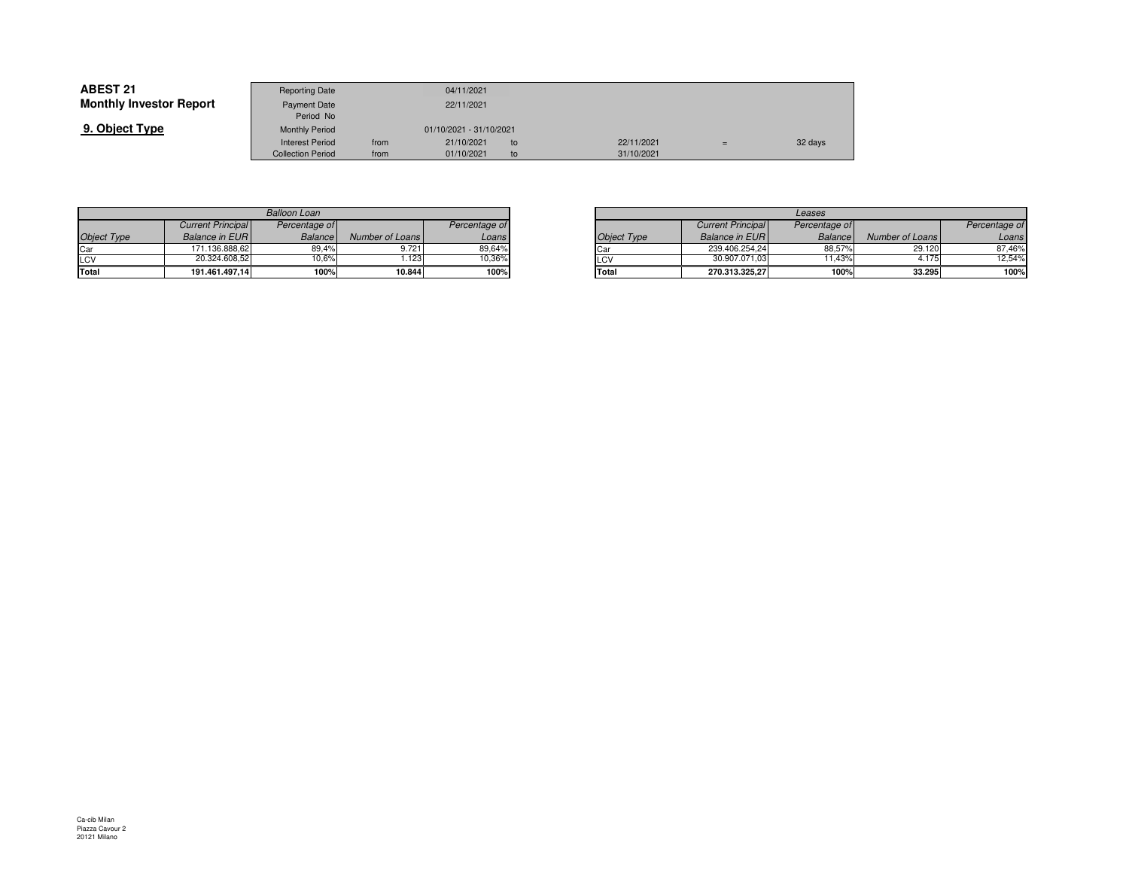| <b>ABEST 21</b>                | <b>Reporting Date</b>     |      | 04/11/2021              |    |            |         |
|--------------------------------|---------------------------|------|-------------------------|----|------------|---------|
| <b>Monthly Investor Report</b> | Payment Date<br>Period No |      | 22/11/2021              |    |            |         |
| 9. Object Type                 | <b>Monthly Period</b>     |      | 01/10/2021 - 31/10/2021 |    |            |         |
|                                | <b>Interest Period</b>    | from | 21/10/2021              | to | 22/11/2021 | 32 days |
|                                | <b>Collection Period</b>  | from | 01/10/2021              | to | 31/10/2021 |         |

| <b>Balloon Loan</b> |                          |                |                 |               |  |  |  |  |  |
|---------------------|--------------------------|----------------|-----------------|---------------|--|--|--|--|--|
|                     | <b>Current Principal</b> | Percentage of  |                 | Percentage of |  |  |  |  |  |
| <b>Object Type</b>  | <b>Balance in EURI</b>   | <b>Balance</b> | Number of Loans | Loans         |  |  |  |  |  |
| Car                 | 171.136.888.62           | 89.4%          | 9.721           | 89,64%        |  |  |  |  |  |
| LCV                 | 20.324.608.52            | 10.6%          | 1.123           | 10.36%        |  |  |  |  |  |
| Total               | 191.461.497.14           | 100%           | 10.844          | 100%          |  |  |  |  |  |

|       |                 |               |                    | Leases                   |                |                 |  |  |
|-------|-----------------|---------------|--------------------|--------------------------|----------------|-----------------|--|--|
| ae of |                 | Percentage of |                    | <b>Current Principal</b> | Percentage of  |                 |  |  |
| ance  | Number of Loans | Loans         | <b>Object Type</b> | <b>Balance in EURI</b>   | <b>Balance</b> | Number of Loans |  |  |
| 19,4% | 9.721           | 89,64%        | <b>ICar</b>        | 239.406.254,24           | 88,57%         | 29.120          |  |  |
| 0,6%  | .123            | 10.36%        | LCV                | 30.907.071.03            | 11.43%         | 4.175           |  |  |
| 100%  | 10.844          | 100%          | Total              | 270.313.325.27           | 100%           | 33.295          |  |  |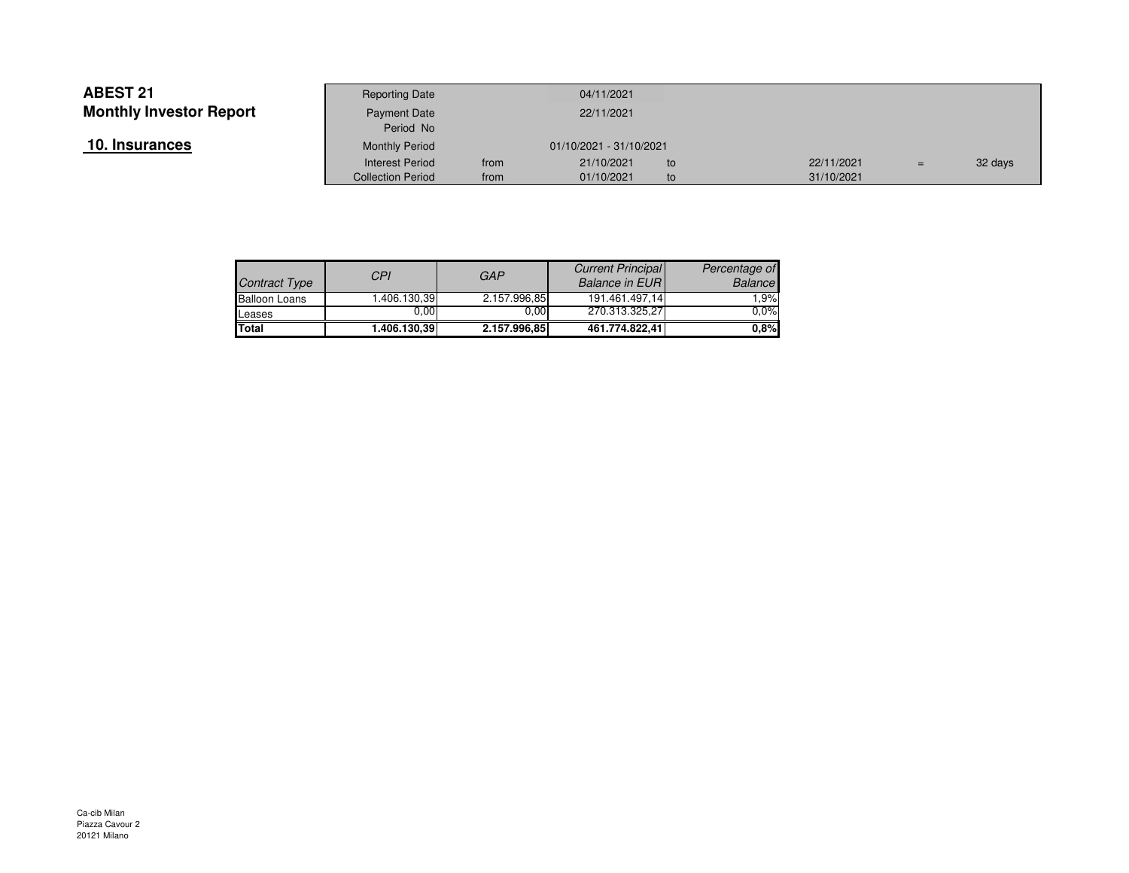| 10. Insurances |  |
|----------------|--|
|----------------|--|

|                    | <b>Reporting Date</b>     |      | 04/11/2021              |     |            |     |         |
|--------------------|---------------------------|------|-------------------------|-----|------------|-----|---------|
| Investor Report    | Payment Date<br>Period No |      | 22/11/2021              |     |            |     |         |
| ances <sup>.</sup> | <b>Monthly Period</b>     |      | 01/10/2021 - 31/10/2021 |     |            |     |         |
|                    | <b>Interest Period</b>    | from | 21/10/2021              | to. | 22/11/2021 | $=$ | 32 days |
|                    | <b>Collection Period</b>  | from | 01/10/2021              | to  | 31/10/2021 |     |         |

| Contract Type        | CPI          | <b>GAP</b>   | <b>Current Principal</b><br><b>Balance in EURI</b> | Percentage of<br>Balance |
|----------------------|--------------|--------------|----------------------------------------------------|--------------------------|
| <b>Balloon Loans</b> | 1.406.130.39 | 2.157.996,85 | 191.461.497.14                                     | 1.9%                     |
| Leases               | $0.00\,$     | 0.00         | 270.313.325.27                                     | $0.0\%$                  |
| <b>Total</b>         | 1.406.130.39 | 2.157.996.85 | 461.774.822.41                                     | 0.8%                     |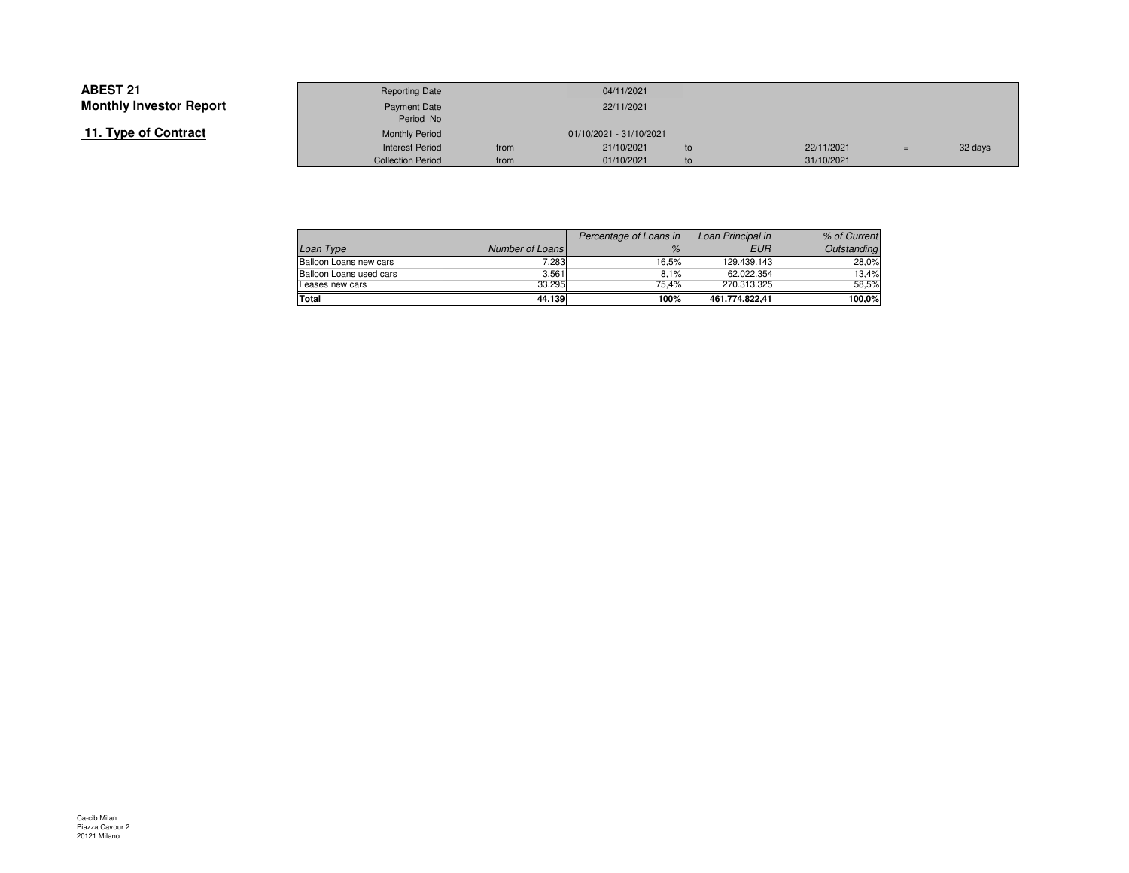### **11. Type of Contract**

|                 | <b>Reporting Date</b>    |                         | 04/11/2021 |    |  |            |     |         |
|-----------------|--------------------------|-------------------------|------------|----|--|------------|-----|---------|
| Investor Report | Payment Date             |                         | 22/11/2021 |    |  |            |     |         |
|                 | Period No                |                         |            |    |  |            |     |         |
| of Contract     | <b>Monthly Period</b>    | 01/10/2021 - 31/10/2021 |            |    |  |            |     |         |
|                 | <b>Interest Period</b>   | from                    | 21/10/2021 | to |  | 22/11/2021 | $=$ | 32 days |
|                 | <b>Collection Period</b> | from                    | 01/10/2021 | to |  | 31/10/2021 |     |         |

|                         |                 | Percentage of Loans in | Loan Principal in | % of Current |
|-------------------------|-----------------|------------------------|-------------------|--------------|
| Loan Type               | Number of Loans | $\%$                   | <b>EURI</b>       | Outstanding  |
| Balloon Loans new cars  | 7.283           | 16.5%                  | 129.439.143       | 28.0%        |
| Balloon Loans used cars | 3.561           | 8.1%                   | 62.022.354        | 13.4%        |
| Leases new cars         | 33.295          | 75.4%                  | 270.313.325       | 58.5%        |
| Total                   | 44.139          | 100%                   | 461.774.822.41    | 100.0%       |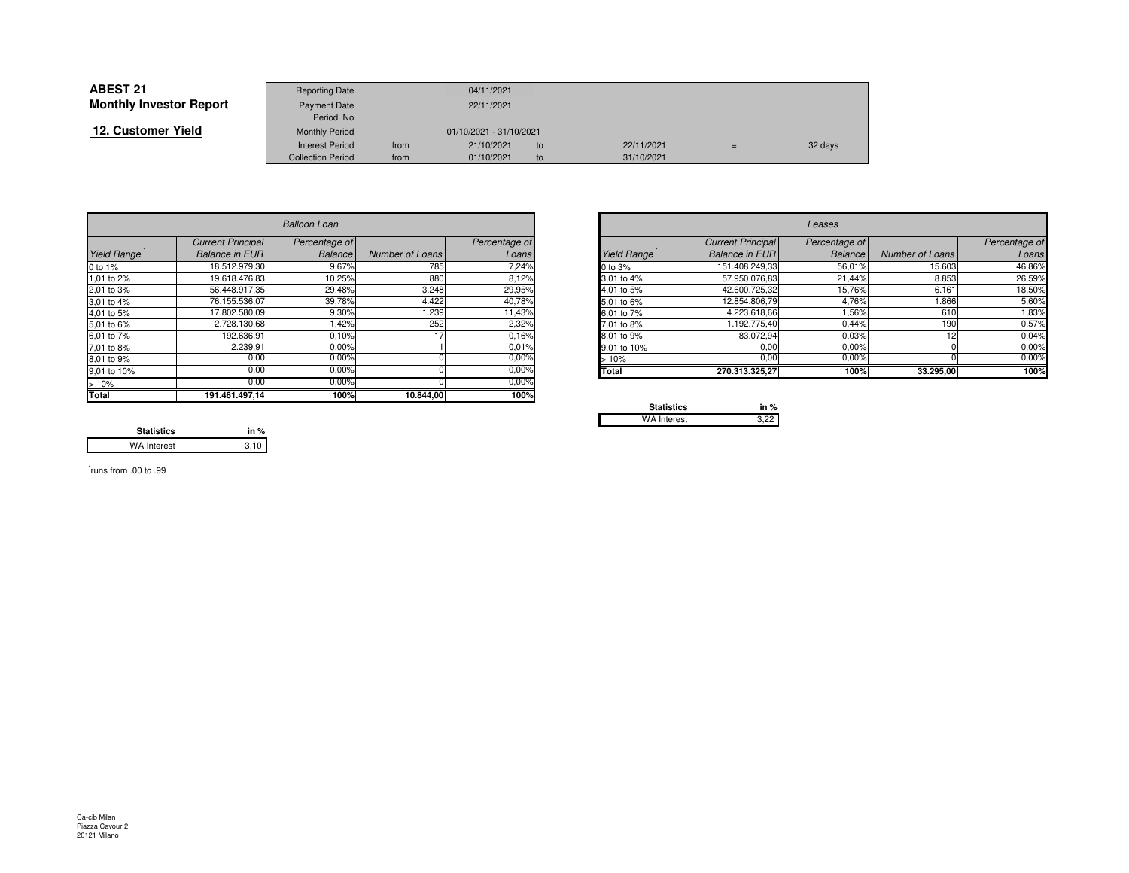| <b>ABEST 21</b>                | <b>Reporting Date</b>    |      | 04/11/2021              |    |            |     |         |
|--------------------------------|--------------------------|------|-------------------------|----|------------|-----|---------|
| <b>Monthly Investor Report</b> | <b>Payment Date</b>      |      | 22/11/2021              |    |            |     |         |
|                                | Period No                |      |                         |    |            |     |         |
| 12. Customer Yield             | <b>Monthly Period</b>    |      | 01/10/2021 - 31/10/2021 |    |            |     |         |
|                                | <b>Interest Period</b>   | from | 21/10/2021              | to | 22/11/2021 | $=$ | 32 days |
|                                | <b>Collection Period</b> | from | 01/10/2021              | to | 31/10/2021 |     |         |

|             | <b>Balloon Loan</b>      |                |                 |               |                                                 | Leases                   |                |                 |               |  |  |
|-------------|--------------------------|----------------|-----------------|---------------|-------------------------------------------------|--------------------------|----------------|-----------------|---------------|--|--|
|             | <b>Current Principal</b> | Percentage of  |                 | Percentage of |                                                 | <b>Current Principal</b> | Percentage of  |                 | Percentage of |  |  |
| Yield Range | <b>Balance in EURI</b>   | <b>Balance</b> | Number of Loans | Loans         | Yield Range                                     | <b>Balance in EURI</b>   | <b>Balance</b> | Number of Loans | Loans         |  |  |
| 0 to 1%     | 18.512.979.30            | 9,67%          | 785             | 7,24%         | 0 to 3%                                         | 151.408.249,33           | 56,01%         | 15.603          | 46,86%        |  |  |
| 1,01 to 2%  | 19.618.476.83            | 10,25%         | 880             | 8,12%         | 3.01 to 4%                                      | 57.950.076,83            | 21,44%         | 8.853           | 26,59%        |  |  |
| 2,01 to 3%  | 56.448.917,35            | 29,48%         | 3.248           | 29,95%        | 4,01 to 5%                                      | 42.600.725,32            | 15,76%         | 6.161           | 18,50%        |  |  |
| 3,01 to 4%  | 76.155.536,07            | 39,78%         | 4.422           | 40,78%        | 5,01 to 6%                                      | 12.854.806,79            | 4,76%          | .866            | 5,60%         |  |  |
| 4,01 to 5%  | 17.802.580,09            | 9,30%          | .239            | 11,43%        | 6.01 to 7%                                      | 4.223.618,66             | 1,56%          | 610             | 1,83%         |  |  |
| 5,01 to 6%  | 2.728.130,68             | 1,42%          | 252             | 2,32%         | 7.01 to 8%                                      | 1.192.775,40             | 0,44%          | 190             | 0,57%         |  |  |
| 6,01 to 7%  | 192.636,91               | 0,10%          |                 | 0.16%         | 8.01 to 9%                                      | 83.072,94                | 0.03%          |                 | 0,04%         |  |  |
| 7,01 to 8%  | 2.239,91                 | 0.00%          |                 | 0.01%         | 9.01 to 10%                                     | 0,00                     | 0.00%          |                 | 0,00%         |  |  |
| 8,01 to 9%  | 0,00                     | 0,00%          |                 | 0.00%         | >10%                                            | 0,00                     | 0,00%          |                 | 0,00%         |  |  |
| 9,01 to 10% | 0,00                     | 0.00%          |                 | 0.00%         | <b>Total</b>                                    | 270.313.325,27           | 100%           | 33.295,00       | 100%          |  |  |
| >10%        | 0,00                     | 0,00%          |                 | $0.00\%$      |                                                 |                          |                |                 |               |  |  |
| Total       | 191.461.497,14           | 100%           | 10.844,00       | 100%          | the contract of the contract of the contract of |                          |                |                 |               |  |  |

| <b>Balloon Loan</b> |                          |                |                 |               |             |                          | Leases         |                 |  |
|---------------------|--------------------------|----------------|-----------------|---------------|-------------|--------------------------|----------------|-----------------|--|
|                     | <b>Current Principal</b> | Percentage of  |                 | Percentage of |             | <b>Current Principal</b> | Percentage of  |                 |  |
| Range               | <b>Balance in EURI</b>   | <b>Balance</b> | Number of Loans | Loans         | Yield Range | <b>Balance in EUR</b>    | <b>Balance</b> | Number of Loans |  |
|                     | 18.512.979,30            | 9,67%          | 785             | 7,24%         | 0 to 3%     | 151.408.249,33           | 56,01%         | 15.603          |  |
| o 2%                | 19.618.476,83            | 10,25%         | 880             | 8,12%         | 3,01 to 4%  | 57.950.076,83            | 21.44%         | 8.853           |  |
| о 3%                | 56.448.917,35            | 29,48%         | 3.248           | 29,95%        | 4,01 to 5%  | 42.600.725,32            | 15,76%         | 6.161           |  |
| o 4%                | 76.155.536,07            | 39,78%         | 4.422           | 40,78%        | 5,01 to 6%  | 12.854.806,79            | 4,76%          | 1.866           |  |
| o 5%                | 17.802.580,09            | 9,30%          | 1.239           | 11,43%        | 6,01 to 7%  | 4.223.618,66             | 1,56%          | 610             |  |
| o 6%                | 2.728.130,68             | 1,42%          | 252             | 2,32%         | 7,01 to 8%  | .192.775,40              | 0,44%          | 190             |  |
| o 7%                | 192.636,91               | 0,10%          |                 | 0.16%         | 8,01 to 9%  | 83.072,94                | 0.03%          |                 |  |
| o 8%                | 2.239,91                 | 0,00%          |                 | 0,01%         | 9,01 to 10% | 0,00                     | 0,00%          |                 |  |
| о 9%                | 0,00                     | 0,00%          |                 | 0,00%         | >10%        | 0,00                     | 0,00%          |                 |  |
| o 10%               | 0,00                     | 0.00%          |                 | 0,00%         | Total       | 270.313.325,27           | 100%           | 33.295,00       |  |
|                     | .                        | .              |                 | $-222$        |             |                          |                |                 |  |

| <b>Statistics</b>  | in $%$ |
|--------------------|--------|
| <b>WA Interest</b> |        |

**Statistics in %** $3,10$ WA Interest

\* runs from .00 to .99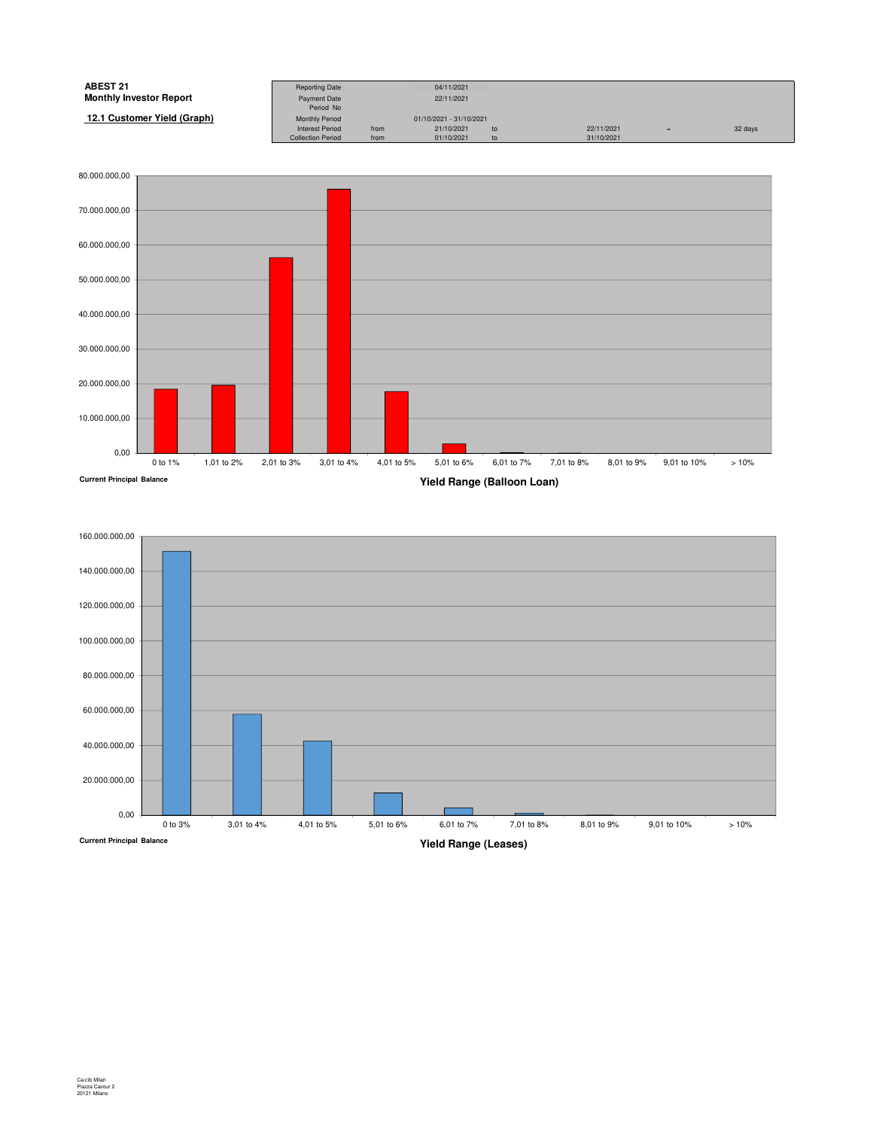| <b>ABEST 21</b>                | <b>Reporting Date</b>                           |              | 04/11/2021              |          |            |     |         |
|--------------------------------|-------------------------------------------------|--------------|-------------------------|----------|------------|-----|---------|
| <b>Monthly Investor Report</b> |                                                 |              | 22/11/2021              |          |            |     |         |
|                                | Payment Date<br>Period No                       |              |                         |          |            |     |         |
| 12.1 Customer Yield (Graph)    |                                                 |              | 01/10/2021 - 31/10/2021 |          |            |     |         |
|                                | <b>Monthly Period</b><br><b>Interest Period</b> |              | 21/10/2021              |          | 22/11/2021 |     |         |
|                                | <b>Collection Period</b>                        | from<br>from | 01/10/2021              | to<br>to | 31/10/2021 | $=$ | 32 days |
|                                |                                                 |              |                         |          |            |     |         |



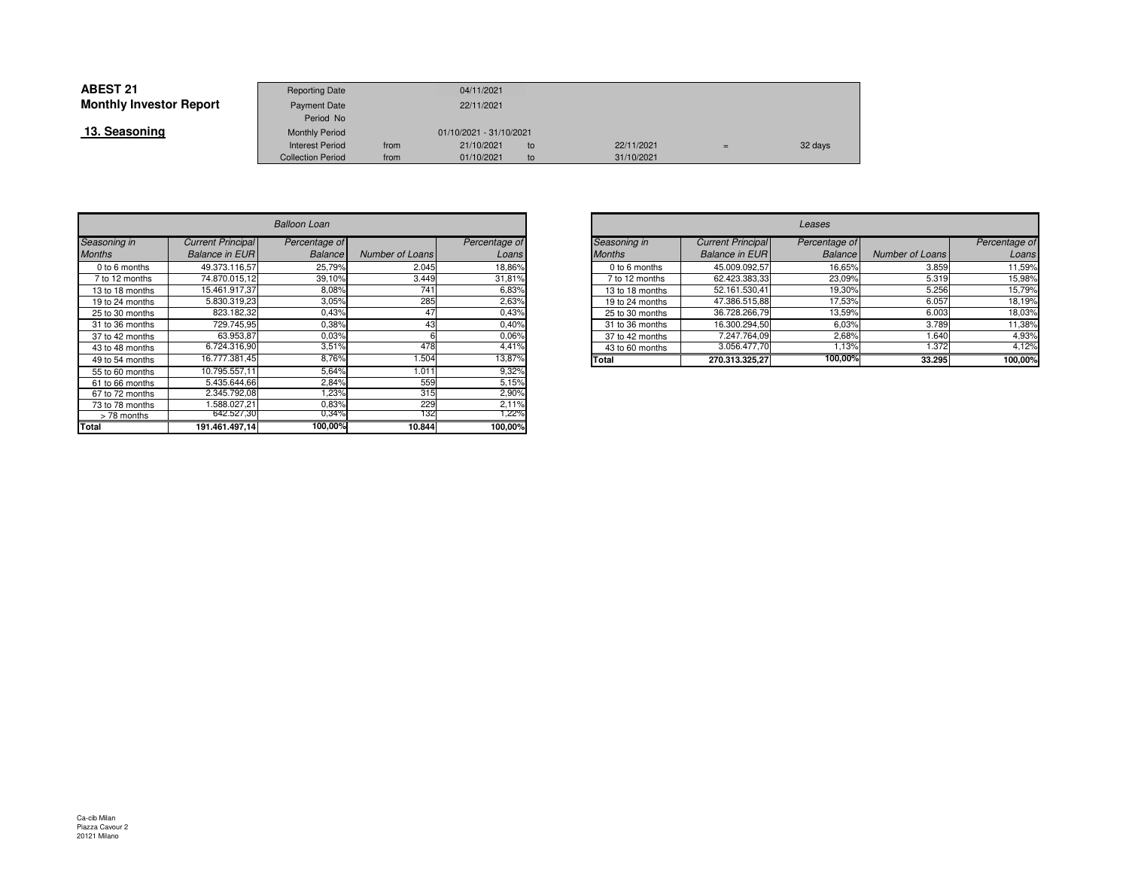| <b>ABEST 21</b>                | <b>Reporting Date</b>    |      | 04/11/2021              |     |            |     |         |
|--------------------------------|--------------------------|------|-------------------------|-----|------------|-----|---------|
| <b>Monthly Investor Report</b> | <b>Payment Date</b>      |      | 22/11/2021              |     |            |     |         |
|                                | Period No                |      |                         |     |            |     |         |
| 13. Seasoning                  | <b>Monthly Period</b>    |      | 01/10/2021 - 31/10/2021 |     |            |     |         |
|                                | <b>Interest Period</b>   | from | 21/10/2021              | to  | 22/11/2021 | $=$ | 32 days |
|                                | <b>Collection Period</b> | from | 01/10/2021              | to. | 31/10/2021 |     |         |

|                 | <b>Balloon Loan</b>      |                |                        |               |  |  |  |  |  |
|-----------------|--------------------------|----------------|------------------------|---------------|--|--|--|--|--|
| Seasoning in    | <b>Current Principal</b> | Percentage of  |                        | Percentage of |  |  |  |  |  |
| <b>Months</b>   | <b>Balance in EUR</b>    | <b>Balance</b> | <b>Number of Loans</b> | Loans         |  |  |  |  |  |
| 0 to 6 months   | 49.373.116.57            | 25,79%         | 2.045                  | 18,86%        |  |  |  |  |  |
| 7 to 12 months  | 74.870.015.12            | 39,10%         | 3.449                  | 31,81%        |  |  |  |  |  |
| 13 to 18 months | 15.461.917.37            | 8,08%          | 741                    | 6,83%         |  |  |  |  |  |
| 19 to 24 months | 5.830.319.23             | 3,05%          | 285                    | 2,63%         |  |  |  |  |  |
| 25 to 30 months | 823.182,32               | 0,43%          | 47                     | 0,43%         |  |  |  |  |  |
| 31 to 36 months | 729.745,95               | 0,38%          | 43                     | 0,40%         |  |  |  |  |  |
| 37 to 42 months | 63.953,87                | 0.03%          | հ                      | 0.06%         |  |  |  |  |  |
| 43 to 48 months | 6.724.316.90             | 3,51%          | 478                    | 4,41%         |  |  |  |  |  |
| 49 to 54 months | 16.777.381,45            | 8,76%          | 1.504                  | 13,87%        |  |  |  |  |  |
| 55 to 60 months | 10.795.557,11            | 5,64%          | 1.011                  | 9,32%         |  |  |  |  |  |
| 61 to 66 months | 5.435.644.66             | 2,84%          | 559                    | 5,15%         |  |  |  |  |  |
| 67 to 72 months | 2.345.792,08             | 1,23%          | 315                    | 2,90%         |  |  |  |  |  |
| 73 to 78 months | 1.588.027.21             | 0,83%          | 229                    | 2,11%         |  |  |  |  |  |
| > 78 months     | 642.527,30               | 0,34%          | 132                    | 1,22%         |  |  |  |  |  |
| Total           | 191.461.497.14           | 100,00%        | 10.844                 | 100,00%       |  |  |  |  |  |

| n            |                 |               |               |                 |                          |                |                 |               |
|--------------|-----------------|---------------|---------------|-----------------|--------------------------|----------------|-----------------|---------------|
| ge of        |                 | Percentage of | Seasoning in  |                 | <b>Current Principal</b> | Percentage of  |                 | Percentage of |
| ance         | Number of Loans | Loans         | <b>Months</b> |                 | <b>Balance in EURI</b>   | <b>Balance</b> | Number of Loans | Loans         |
| 5,79%        | 2.045           | 18,86%        |               | 0 to 6 months   | 45.009.092,57            | 16,65%         | 3.859           | 11,59%        |
| .10%         | 3.449           | 31,81%        |               | 7 to 12 months  | 62.423.383,33            | 23.09%         | 5.319           | 15,98%        |
| 3,08%        | 741             | 6,83%         |               | 13 to 18 months | 52.161.530,41            | 19,30%         | 5.256           | 15,79%        |
| 3,05%        | 285             | 2,63%         |               | 19 to 24 months | 47.386.515,88            | 17,53%         | 6.057           | 18,19%        |
| ,43%         | 47              | 0,43%         |               | 25 to 30 months | 36.728.266,79            | 13,59%         | 6.003           | 18,03%        |
| ,38%         | 43              | 0,40%         |               | 31 to 36 months | 16.300.294,50            | 6,03%          | 3.789           | 11,38%        |
| 0.3%         |                 | 0.06%         |               | 37 to 42 months | 7.247.764,09             | 2.68%          | 1.640           | 4,93%         |
| 3,51%        | 478             | 4.41%         |               | 43 to 60 months | 3.056.477,70             | 1,13%          | 1.372           | 4,12%         |
| 3,76%        | .504            | 13,87%        | Total         |                 | 270.313.325,27           | 100,00%        | 33.295          | 100,00%       |
| $\sim$ 0.40% | ,,,,            | 0.0001        |               |                 |                          |                |                 |               |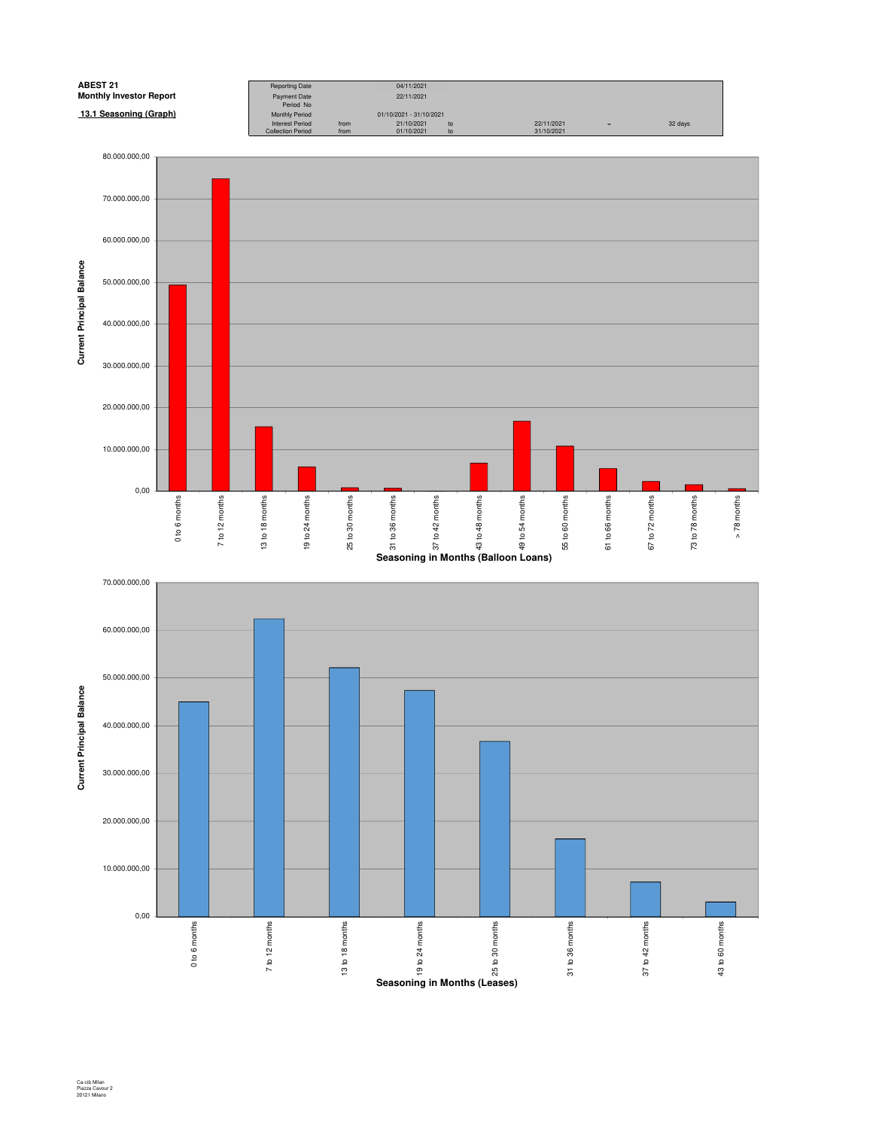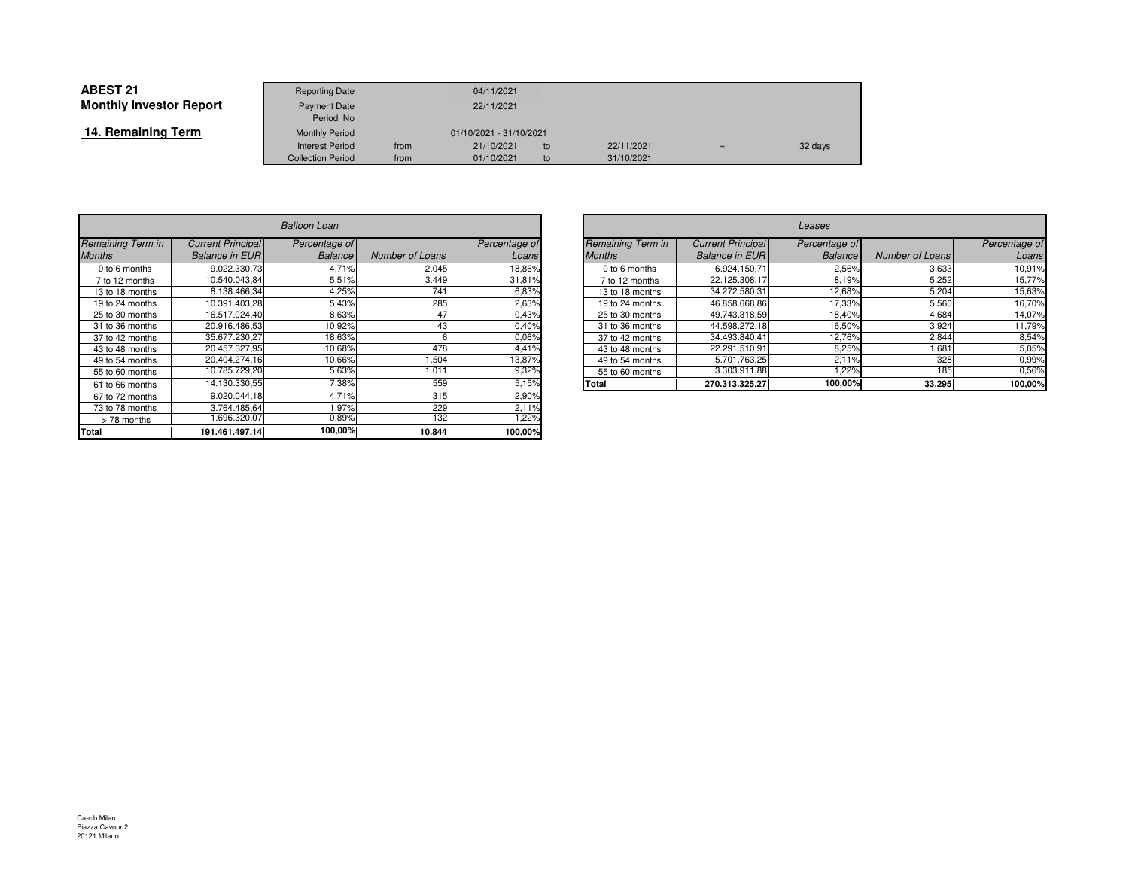| <b>ABEST 21</b>                | <b>Reporting Date</b>              |      | 04/11/2021              |    |            |     |         |
|--------------------------------|------------------------------------|------|-------------------------|----|------------|-----|---------|
| <b>Monthly Investor Report</b> | Payment Date                       |      | 22/11/2021              |    |            |     |         |
| 14. Remaining Term             | Period No<br><b>Monthly Period</b> |      | 01/10/2021 - 31/10/2021 |    |            |     |         |
|                                | <b>Interest Period</b>             | from | 21/10/2021              | to | 22/11/2021 | $=$ | 32 days |
|                                | <b>Collection Period</b>           | from | 01/10/2021              | to | 31/10/2021 |     |         |

|                   | <b>Balloon Loan</b>      |                |                        |               |  |  |  |  |  |
|-------------------|--------------------------|----------------|------------------------|---------------|--|--|--|--|--|
| Remaining Term in | <b>Current Principal</b> | Percentage of  |                        | Percentage of |  |  |  |  |  |
| <b>Months</b>     | <b>Balance in EUR</b>    | <b>Balance</b> | <b>Number of Loans</b> | Loans         |  |  |  |  |  |
| 0 to 6 months     | 9.022.330.73             | 4,71%          | 2.045                  | 18,86%        |  |  |  |  |  |
| 7 to 12 months    | 10.540.043,84            | 5,51%          | 3.449                  | 31,81%        |  |  |  |  |  |
| 13 to 18 months   | 8.138.466,34             | 4,25%          | 741                    | 6,83%         |  |  |  |  |  |
| 19 to 24 months   | 10.391.403,28            | 5,43%          | 285                    | 2,63%         |  |  |  |  |  |
| 25 to 30 months   | 16.517.024.40            | 8,63%          | 47                     | 0,43%         |  |  |  |  |  |
| 31 to 36 months   | 20.916.486.53            | 10,92%         | 43                     | 0,40%         |  |  |  |  |  |
| 37 to 42 months   | 35.677.230,27            | 18,63%         | 6                      | 0,06%         |  |  |  |  |  |
| 43 to 48 months   | 20.457.327.95            | 10,68%         | 478                    | 4,41%         |  |  |  |  |  |
| 49 to 54 months   | 20.404.274.16            | 10,66%         | 1.504                  | 13,87%        |  |  |  |  |  |
| 55 to 60 months   | 10.785.729,20            | 5,63%          | 1.011                  | 9,32%         |  |  |  |  |  |
| 61 to 66 months   | 14.130.330.55            | 7,38%          | 559                    | 5,15%         |  |  |  |  |  |
| 67 to 72 months   | 9.020.044.18             | 4,71%          | 315                    | 2,90%         |  |  |  |  |  |
| 73 to 78 months   | 3.764.485,64             | 1,97%          | 229                    | 2,11%         |  |  |  |  |  |
| >78 months        | 1.696.320,07             | 0,89%          | 132                    | 1,22%         |  |  |  |  |  |
| <b>Total</b>      | 191.461.497,14           | 100,00%        | 10.844                 | 100,00%       |  |  |  |  |  |

| $\overline{r}$ |                 |               |  | Leases            |                          |                |                 |               |  |  |
|----------------|-----------------|---------------|--|-------------------|--------------------------|----------------|-----------------|---------------|--|--|
| ge of          |                 | Percentage of |  | Remaining Term in | <b>Current Principal</b> | Percentage of  |                 | Percentage of |  |  |
| ance           | Number of Loans | Loans         |  | <b>Months</b>     | <b>Balance in EUR</b>    | <b>Balance</b> | Number of Loans | Loans         |  |  |
| 4,71%          | 2.045           | 18,86%        |  | 0 to 6 months     | 6.924.150.71             | 2,56%          | 3.633           | 10,91%        |  |  |
| 5,51%          | 3.449           | 31,81%        |  | 7 to 12 months    | 22.125.308,17            | 8,19%          | 5.252           | 15,77%        |  |  |
| I,25%          | 741             | 6,83%         |  | 13 to 18 months   | 34.272.580.31            | 12,68%         | 5.204           | 15,63%        |  |  |
| 5,43%          | 285             | 2,63%         |  | 19 to 24 months   | 46.858.668.86            | 17,33%         | 5.560           | 16,70%        |  |  |
| 3,63%          | 47              | 0,43%         |  | 25 to 30 months   | 49.743.318.59            | 18,40%         | 4.684           | 14,07%        |  |  |
| ,92%           | 43              | 0,40%         |  | 31 to 36 months   | 44.598.272,18            | 16,50%         | 3.924           | 11,79%        |  |  |
| 3,63%          |                 | 0.06%         |  | 37 to 42 months   | 34.493.840.41            | 12.76%         | 2.844           | 8,54%         |  |  |
| 0,68%          | 478             | 4,41%         |  | 43 to 48 months   | 22.291.510.91            | 8,25%          | 1.681           | 5,05%         |  |  |
| 0,66%          | .504            | 13,87%        |  | 49 to 54 months   | 5.701.763.25             | 2.11%          | 328             | 0.99%         |  |  |
| $5,63\%$       | 1.011           | 9,32%         |  | 55 to 60 months   | 3.303.911.88             | ,22%           | 185             | 0,56%         |  |  |
| 7,38%          | 559             | 5,15%         |  | <b>Total</b>      | 270.313.325,27           | 100,00%        | 33.295          | 100,00%       |  |  |
| .              | $ -$            | - - - -       |  |                   |                          |                |                 |               |  |  |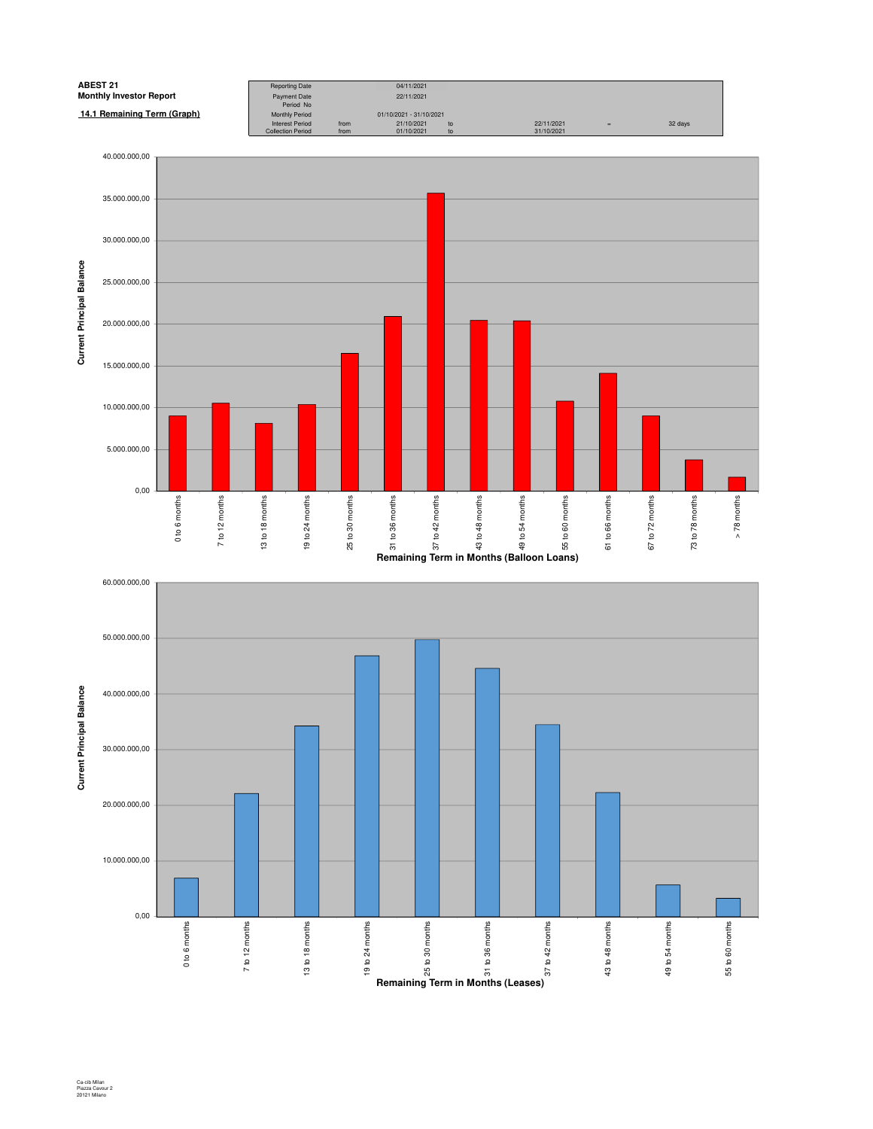

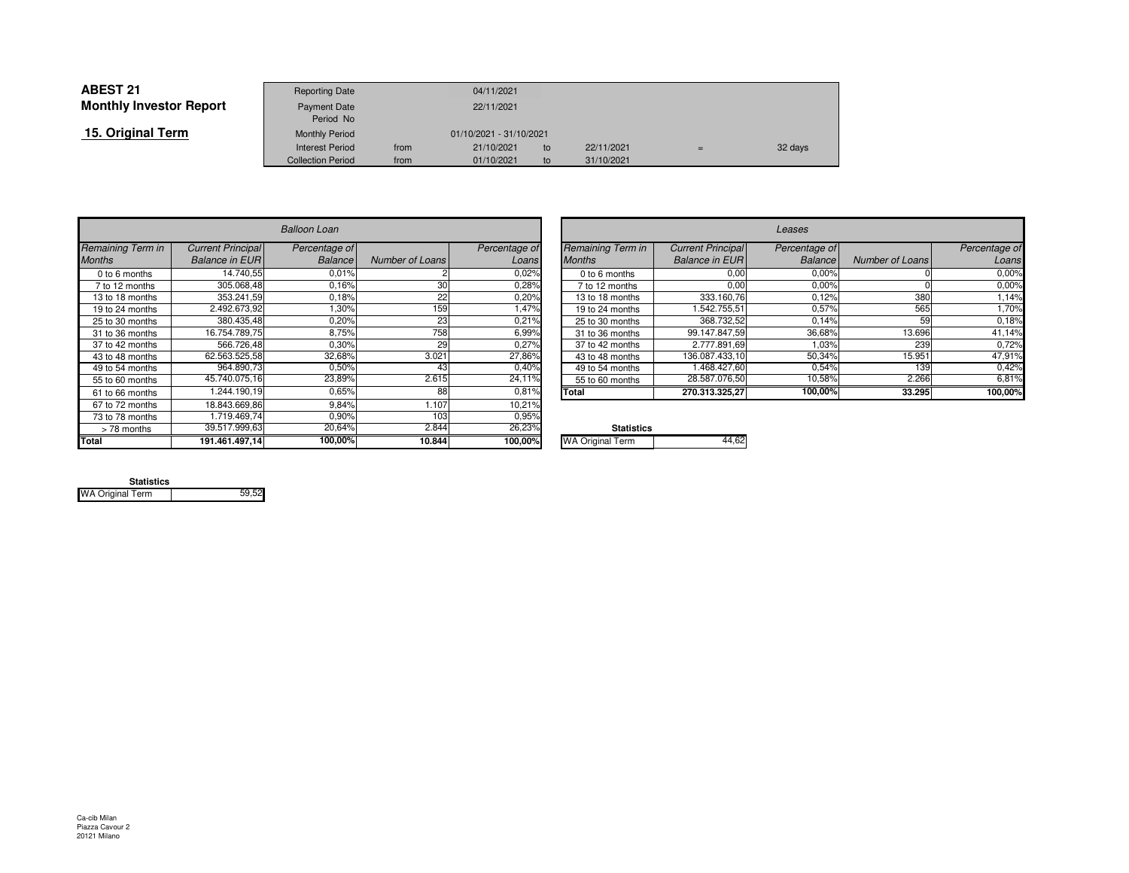| <b>ABEST 21</b>                | <b>Reporting Date</b>     |      | 04/11/2021              |    |            |     |         |
|--------------------------------|---------------------------|------|-------------------------|----|------------|-----|---------|
| <b>Monthly Investor Report</b> | Payment Date<br>Period No |      | 22/11/2021              |    |            |     |         |
| 15. Original Term              | <b>Monthly Period</b>     |      | 01/10/2021 - 31/10/2021 |    |            |     |         |
|                                | <b>Interest Period</b>    | from | 21/10/2021              | to | 22/11/2021 | $=$ | 32 days |
|                                | <b>Collection Period</b>  | from | 01/10/2021              | to | 31/10/2021 |     |         |

|                   |                          | <b>Balloon Loan</b> |                        |               |                         |
|-------------------|--------------------------|---------------------|------------------------|---------------|-------------------------|
| Remaining Term in | <b>Current Principal</b> | Percentage of       |                        | Percentage of | Remaining Term in       |
| <b>Months</b>     | <b>Balance in EUR</b>    | Balance             | <b>Number of Loans</b> | Loans         | <b>Months</b>           |
| 0 to 6 months     | 14.740.55                | 0.01%               |                        | 0.02%         | 0 to 6 months           |
| 7 to 12 months    | 305.068.48               | 0.16%               | 30                     | 0,28%         | 7 to 12 months          |
| 13 to 18 months   | 353.241.59               | 0.18%               | 22                     | 0,20%         | 13 to 18 months         |
| 19 to 24 months   | 2.492.673,92             | 1,30%               | 159                    | 1.47%         | 19 to 24 months         |
| 25 to 30 months   | 380.435,48               | 0,20%               | 23                     | 0.21%         | 25 to 30 months         |
| 31 to 36 months   | 16.754.789,75            | 8,75%               | 758                    | 6,99%         | 31 to 36 months         |
| 37 to 42 months   | 566.726,48               | 0.30%               | 29                     | 0,27%         | 37 to 42 months         |
| 43 to 48 months   | 62.563.525,58            | 32,68%              | 3.021                  | 27,86%        | 43 to 48 months         |
| 49 to 54 months   | 964.890.73               | 0.50%               | 43                     | 0,40%         | 49 to 54 months         |
| 55 to 60 months   | 45.740.075,16            | 23,89%              | 2.615                  | 24,11%        | 55 to 60 months         |
| 61 to 66 months   | 1.244.190.19             | 0.65%               | 88                     | 0.81%         | Total                   |
| 67 to 72 months   | 18.843.669,86            | 9.84%               | 1.107                  | 10,21%        |                         |
| 73 to 78 months   | 1.719.469.74             | 0.90%               | 103                    | 0.95%         |                         |
| > 78 months       | 39.517.999,63            | 20,64%              | 2.844                  | 26,23%        | <b>Statistics</b>       |
| Total             | 191.461.497,14           | 100,00%             | 10.844                 | 100,00%       | <b>WA Original Term</b> |

| n                    |                        |               |                   |                          | Leases         |                        |               |
|----------------------|------------------------|---------------|-------------------|--------------------------|----------------|------------------------|---------------|
| ge of                |                        | Percentage of | Remaining Term in | <b>Current Principal</b> | Percentage of  |                        | Percentage of |
| ance                 | Number of Loans        | Loans         | <b>Months</b>     | <b>Balance in EUR</b>    | <b>Balance</b> | <b>Number of Loans</b> | Loans         |
| ,01%                 |                        | 0.02%         | 0 to 6 months     | 0,00                     | 0.00%          |                        | 0.00%         |
| 16%                  | 30                     | 0.28%         | 7 to 12 months    | 0,00                     | 0.00%          |                        | 0,00%         |
| ,18%                 | 22                     | 0,20%         | 13 to 18 months   | 333.160,76               | 0,12%          | 380                    | 1,14%         |
| .30%                 | 159                    | A7%           | 19 to 24 months   | .542.755,51              | 0,57%          | 565                    | 1,70%         |
| ,20%                 | 23                     | 0.21%         | 25 to 30 months   | 368.732,52               | 0,14%          | 59                     | 0,18%         |
| 3,75%                | 758                    | 6,99%         | 31 to 36 months   | 99.147.847,59            | 36,68%         | 13.696                 | 41,14%        |
| ,30%                 | 29                     | 0,27%         | 37 to 42 months   | 2.777.891.69             | 1,03%          | 239                    | 0,72%         |
| .68%                 | 3.021                  | 27,86%        | 43 to 48 months   | 136.087.433.10           | 50,34%         | 15.951                 | 47,91%        |
| ,50%                 | 43                     | 0,40%         | 49 to 54 months   | 1.468.427.60             | 0.54%          | 139                    | 0,42%         |
| ,89%                 | 2.615                  | 24.11%        | 55 to 60 months   | 28.587.076,50            | 10,58%         | 2.266                  | 6,81%         |
| 0.65%                | 88                     | 0,81%         | Total             | 270.313.325,27           | 100,00%        | 33.295                 | 100,00%       |
| $\sim$ $\sim$ $\sim$ | $\cdot$ $\cdot$ $\sim$ | 100           |                   |                          |                |                        |               |

| ℅ | <b>Statistics</b>       |         |
|---|-------------------------|---------|
| % | <b>WA Original Term</b> | $AA$ 62 |
|   |                         |         |

| <b>Statistics</b>       |       |
|-------------------------|-------|
| <b>WA Original Term</b> | 59.52 |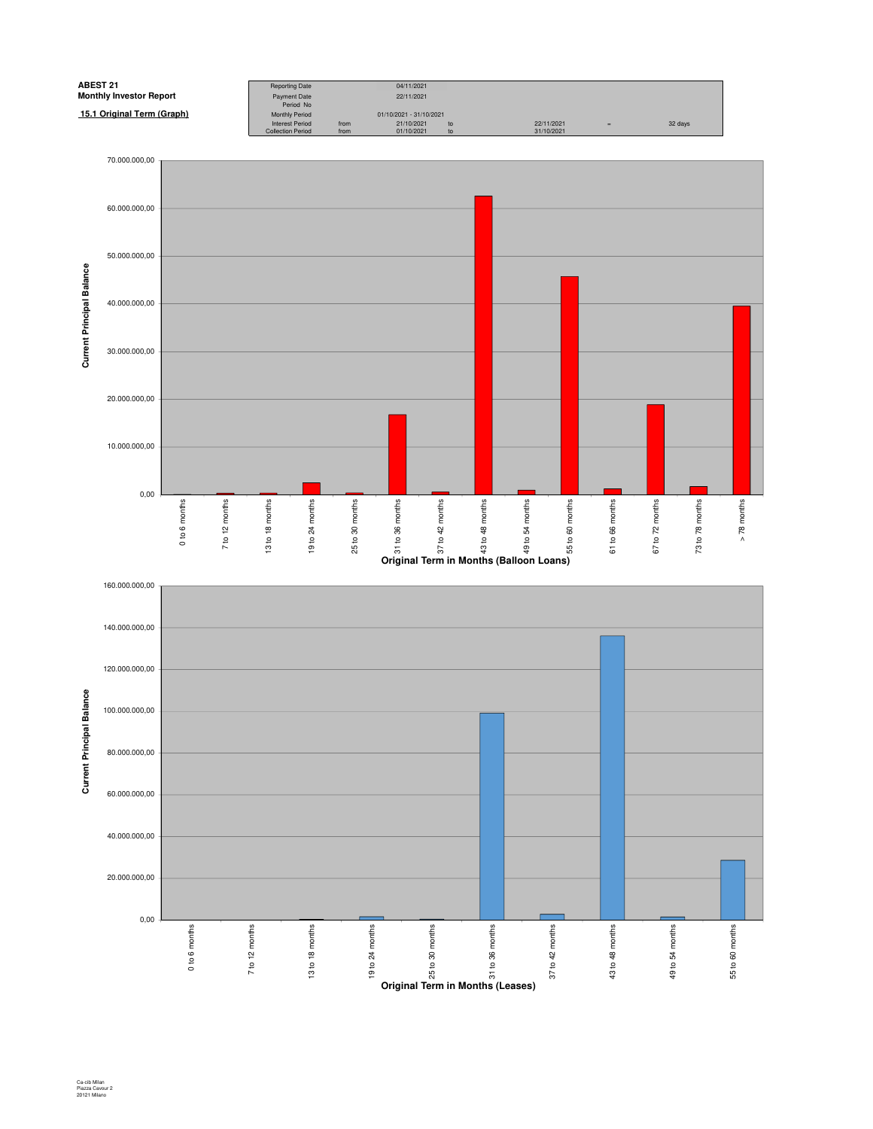![](_page_22_Figure_0.jpeg)

![](_page_22_Figure_1.jpeg)

Ca-cib Milan Piazza Cavour 2 20121 Milano

0,00

0 to 6 months

7 to 12 months

7 to 12 months

13 to 18 months

13 to 18 months

19 to 24 months

19 to 24 months

25 to 30 months

**Property of the Contract of the Contract of the Contract of the Contract of the Contract of the Contract of Contract of Contract of Contract of Contract of Contract of Contract of Contract of Contract of Contract of Contr** 

31 to 36 months

37 to 42 months

37 to 42 months

43 to 48 months

43 to 48 months

49 to 54 months

49 to 54 months

55 to 60 months

55 to 60 months

20.000.000,00

40.000.000,00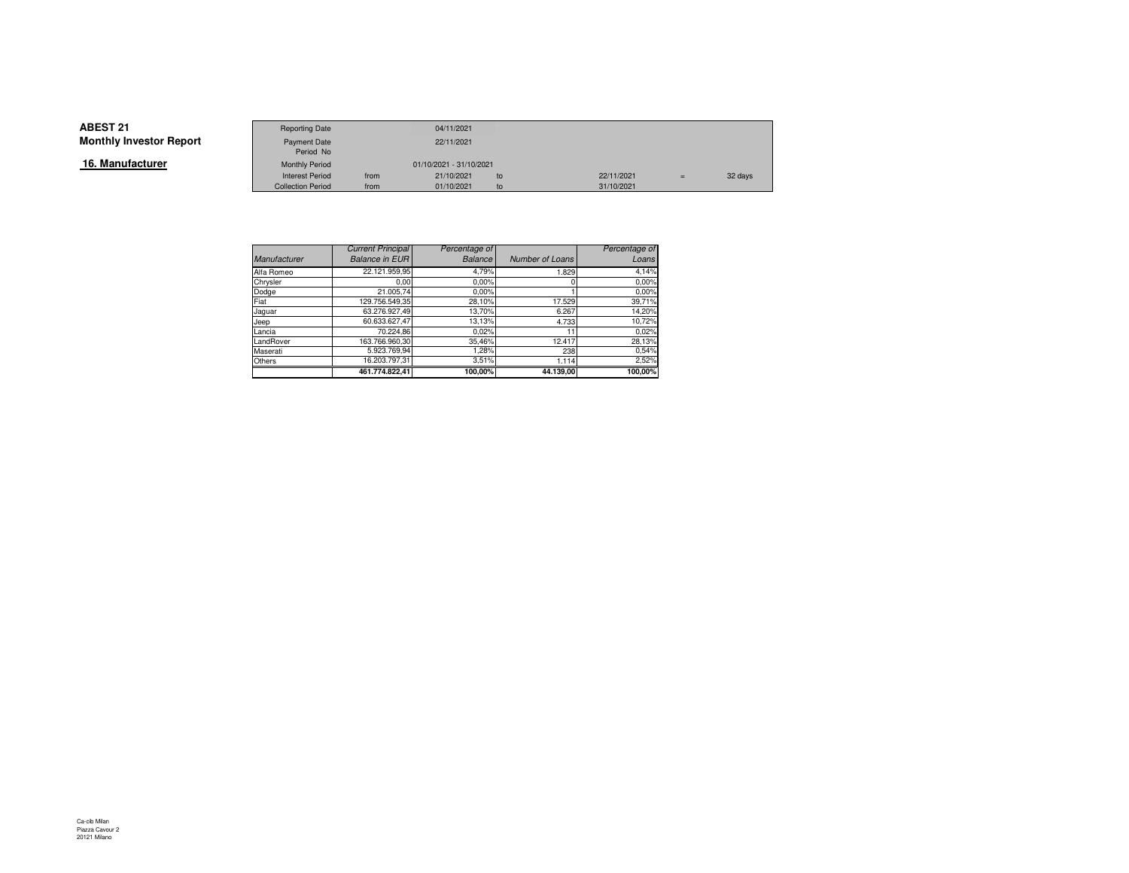**16. Manufacturer**

|                 | <b>Reporting Date</b>    |      | 04/11/2021              |    |            |     |         |
|-----------------|--------------------------|------|-------------------------|----|------------|-----|---------|
| Investor Report | Payment Date             |      | 22/11/2021              |    |            |     |         |
|                 | Period No                |      |                         |    |            |     |         |
| ufacturer       | <b>Monthly Period</b>    |      | 01/10/2021 - 31/10/2021 |    |            |     |         |
|                 | <b>Interest Period</b>   | from | 21/10/2021              | to | 22/11/2021 | $=$ | 32 days |
|                 | <b>Collection Period</b> | from | 01/10/2021              | to | 31/10/2021 |     |         |

|                     | <b>Current Principal</b> | Percentage of  |                 | Percentage of |
|---------------------|--------------------------|----------------|-----------------|---------------|
| <b>Manufacturer</b> | <b>Balance in EUR</b>    | <b>Balance</b> | Number of Loans | Loans         |
| Alfa Romeo          | 22.121.959,95            | 4,79%          | 1.829           | 4,14%         |
| Chrysler            | 0.00                     | 0.00%          |                 | 0.00%         |
| Dodge               | 21.005,74                | 0.00%          |                 | 0.00%         |
| Fiat                | 129.756.549,35           | 28,10%         | 17.529          | 39,71%        |
| Jaguar              | 63.276.927.49            | 13,70%         | 6.267           | 14,20%        |
| Jeep                | 60.633.627.47            | 13,13%         | 4.733           | 10,72%        |
| Lancia              | 70.224,86                | 0.02%          |                 | 0,02%         |
| LandRover           | 163.766.960.30           | 35,46%         | 12.417          | 28,13%        |
| Maserati            | 5.923.769.94             | 1,28%          | 238             | 0,54%         |
| Others              | 16.203.797.31            | 3.51%          | 1.114           | 2,52%         |
|                     | 461.774.822,41           | 100,00%        | 44.139,00       | 100,00%       |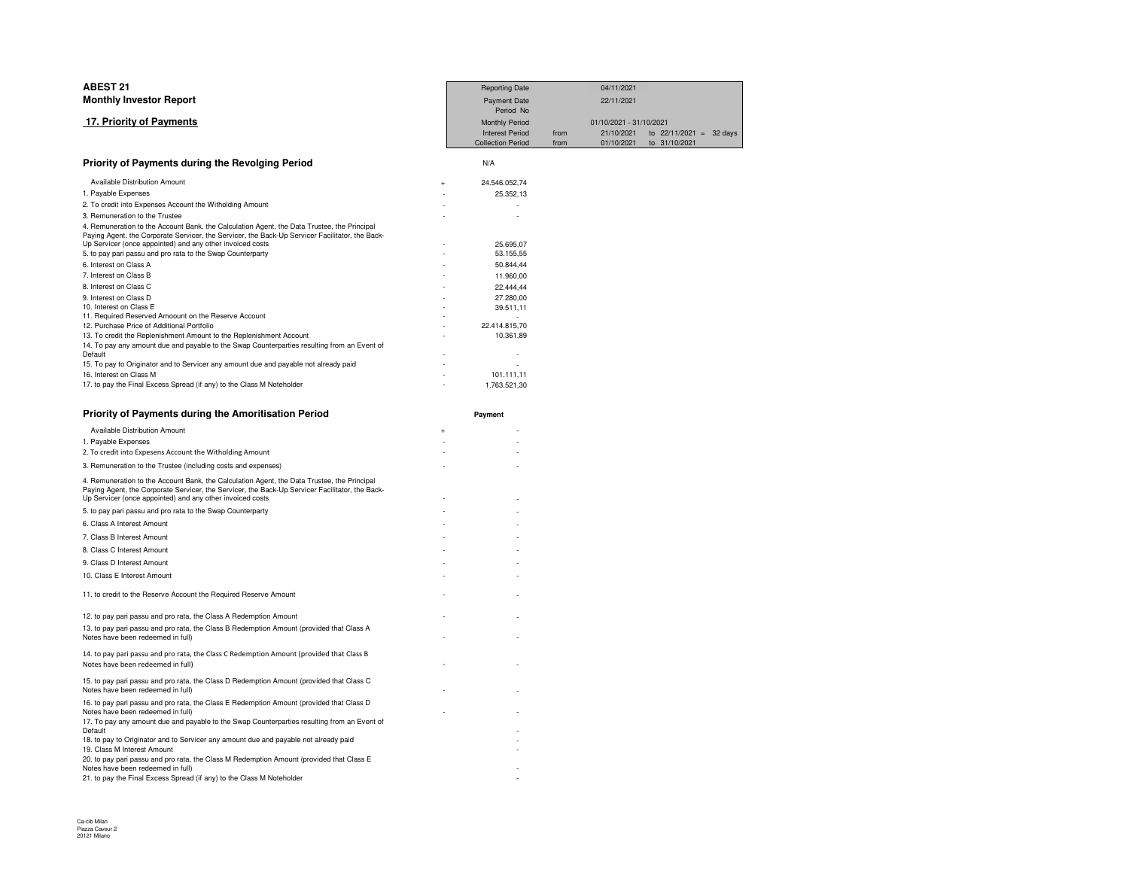| <b>ABEST 21</b>                                                                                                                                                                                                                                             | <b>Reporting Date</b>      | 04/11/2021              |                           |
|-------------------------------------------------------------------------------------------------------------------------------------------------------------------------------------------------------------------------------------------------------------|----------------------------|-------------------------|---------------------------|
| <b>Monthly Investor Report</b>                                                                                                                                                                                                                              | <b>Payment Date</b>        | 22/11/2021              |                           |
|                                                                                                                                                                                                                                                             | Period No                  |                         |                           |
| 17. Priority of Payments                                                                                                                                                                                                                                    | <b>Monthly Period</b>      | 01/10/2021 - 31/10/2021 |                           |
|                                                                                                                                                                                                                                                             | <b>Interest Period</b>     | 21/10/2021<br>from      | to $22/11/2021 = 32$ days |
|                                                                                                                                                                                                                                                             | <b>Collection Period</b>   | from<br>01/10/2021      | to 31/10/2021             |
| Priority of Payments during the Revolging Period                                                                                                                                                                                                            | N/A                        |                         |                           |
| Available Distribution Amount                                                                                                                                                                                                                               | 24.546.052,74              |                         |                           |
| 1. Payable Expenses                                                                                                                                                                                                                                         | 25.352,13                  |                         |                           |
| 2. To credit into Expenses Account the Witholding Amount                                                                                                                                                                                                    |                            |                         |                           |
| 3. Remuneration to the Trustee                                                                                                                                                                                                                              |                            |                         |                           |
| 4. Remuneration to the Account Bank, the Calculation Agent, the Data Trustee, the Principal<br>Paying Agent, the Corporate Servicer, the Servicer, the Back-Up Servicer Facilitator, the Back-<br>Up Servicer (once appointed) and any other invoiced costs | 25.695,07                  |                         |                           |
| 5. to pay pari passu and pro rata to the Swap Counterparty                                                                                                                                                                                                  | 53.155,55                  |                         |                           |
| 6. Interest on Class A                                                                                                                                                                                                                                      | 50.844,44                  |                         |                           |
| 7. Interest on Class B                                                                                                                                                                                                                                      | 11.960,00                  |                         |                           |
| 8. Interest on Class C                                                                                                                                                                                                                                      | 22.444,44                  |                         |                           |
| 9. Interest on Class D                                                                                                                                                                                                                                      | 27.280,00                  |                         |                           |
| 10. Interest on Class E                                                                                                                                                                                                                                     | 39.511,11                  |                         |                           |
| 11. Required Reserved Amoount on the Reserve Account                                                                                                                                                                                                        |                            |                         |                           |
| 12. Purchase Price of Additional Portfolio<br>13. To credit the Replenishment Amount to the Replenishment Account                                                                                                                                           | 22.414.815,70<br>10.361,89 |                         |                           |
| 14. To pay any amount due and payable to the Swap Counterparties resulting from an Event of                                                                                                                                                                 |                            |                         |                           |
| Default                                                                                                                                                                                                                                                     |                            |                         |                           |
| 15. To pay to Originator and to Servicer any amount due and payable not already paid                                                                                                                                                                        |                            |                         |                           |
| 16. Interest on Class M                                                                                                                                                                                                                                     | 101.111,11                 |                         |                           |
| 17. to pay the Final Excess Spread (if any) to the Class M Noteholder                                                                                                                                                                                       | 1.763.521,30               |                         |                           |
| Priority of Payments during the Amoritisation Period                                                                                                                                                                                                        |                            |                         |                           |
|                                                                                                                                                                                                                                                             | Payment                    |                         |                           |
| Available Distribution Amount                                                                                                                                                                                                                               | $\ddot{}$                  |                         |                           |
| 1. Payable Expenses                                                                                                                                                                                                                                         |                            |                         |                           |
| 2. To credit into Expesens Account the Witholding Amount                                                                                                                                                                                                    |                            |                         |                           |
| 3. Remuneration to the Trustee (including costs and expenses)                                                                                                                                                                                               |                            |                         |                           |
| 4. Remuneration to the Account Bank, the Calculation Agent, the Data Trustee, the Principal<br>Paying Agent, the Corporate Servicer, the Servicer, the Back-Up Servicer Facilitator, the Back-<br>Up Servicer (once appointed) and any other invoiced costs |                            |                         |                           |
| 5. to pay pari passu and pro rata to the Swap Counterparty                                                                                                                                                                                                  |                            |                         |                           |
| 6. Class A Interest Amount                                                                                                                                                                                                                                  |                            |                         |                           |
| 7. Class B Interest Amount                                                                                                                                                                                                                                  |                            |                         |                           |
| 8. Class C Interest Amount                                                                                                                                                                                                                                  |                            |                         |                           |
| 9. Class D Interest Amount                                                                                                                                                                                                                                  |                            |                         |                           |
|                                                                                                                                                                                                                                                             |                            |                         |                           |
| 10. Class E Interest Amount                                                                                                                                                                                                                                 |                            |                         |                           |
| 11. to credit to the Reserve Account the Required Reserve Amount                                                                                                                                                                                            |                            |                         |                           |
| 12. to pay pari passu and pro rata, the Class A Redemption Amount                                                                                                                                                                                           |                            |                         |                           |
| 13. to pay pari passu and pro rata, the Class B Redemption Amount (provided that Class A                                                                                                                                                                    |                            |                         |                           |
| Notes have been redeemed in full)                                                                                                                                                                                                                           |                            |                         |                           |
| 14. to pay pari passu and pro rata, the Class C Redemption Amount (provided that Class B                                                                                                                                                                    |                            |                         |                           |

) the contract of the contract of the contract of the contract of the contract of the contract of the contract of the contract of the contract of the contract of the contract of the contract of the contract of the contrac

 $\overline{a}$ 

 $\overline{a}$ 

 $\overline{a}$  -  $\overline{a}$  -  $\overline{a}$  -  $\overline{a}$  -  $\overline{a}$  -  $\overline{a}$  -  $\overline{a}$  -  $\overline{a}$  -  $\overline{a}$  -  $\overline{a}$  -  $\overline{a}$  -  $\overline{a}$  -  $\overline{a}$  -  $\overline{a}$  -  $\overline{a}$  -  $\overline{a}$  -  $\overline{a}$  -  $\overline{a}$  -  $\overline{a}$  -  $\overline{a}$  -

-

15. to pay pari passu and pro rata, the Class D Redemption Amount (provided that Class C Notes have been redeemed in full) - -

- -17. To pay any amount due and payable to the Swap Counterparties resulting from an Event of

-<br>18. to pay to Originator and to Servicer any amount due and payable not already paid<br>19. Class M Interest Amount -

20. to pay pari passu and pro rata, the Class M Redemption Amount (provided that Class E Notes have been redeemed in full) -

16. to pay pari passu and pro rata, the Class E Redemption Amount (provided that Class D

21. to pay the Final Excess Spread (if any) to the Class M Noteholder

Default

Notes have been redeemed in full)

Notes have been redeemed in full)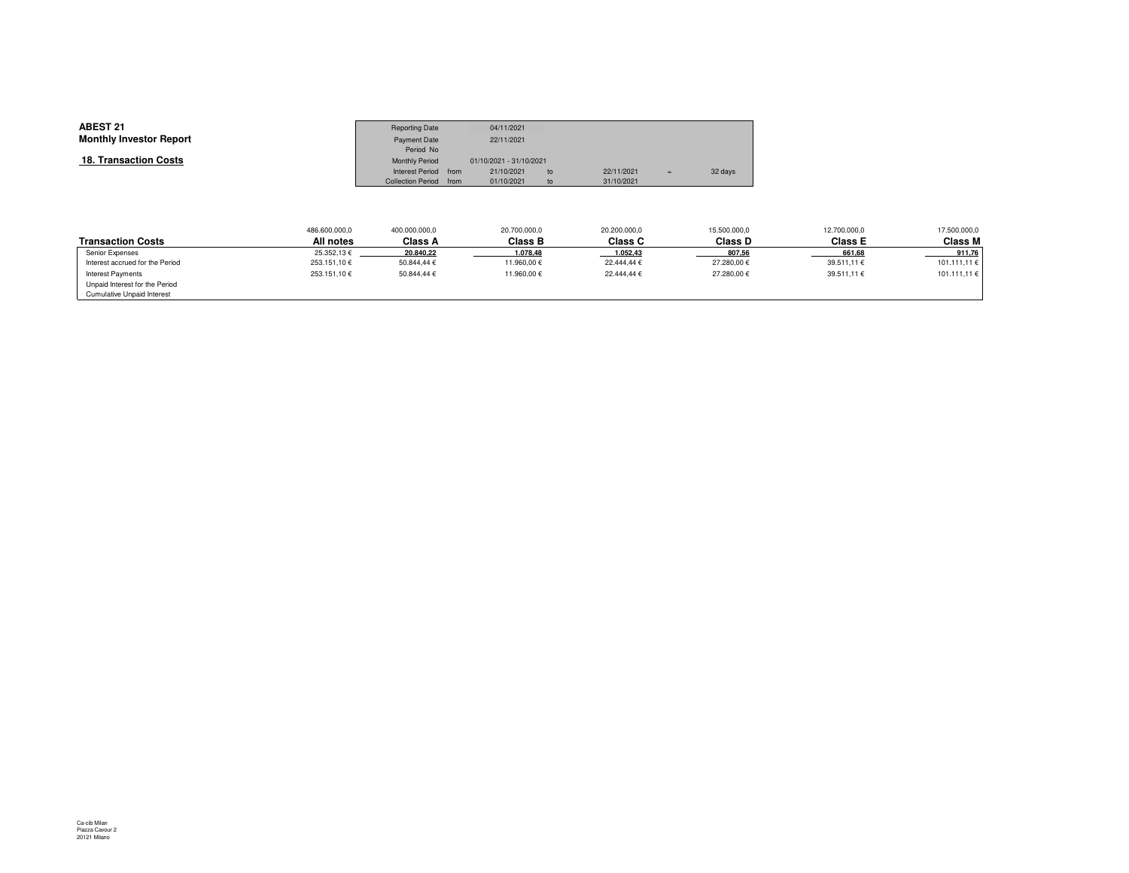| <b>ABEST 21</b><br><b>Monthly Investor Report</b> | <b>Reporting Date</b><br><b>Payment Date</b><br>Period No |      | 04/11/2021<br>22/11/2021 |    |            |     |         |
|---------------------------------------------------|-----------------------------------------------------------|------|--------------------------|----|------------|-----|---------|
| 18. Transaction Costs                             | Monthly Period                                            |      | 01/10/2021 - 31/10/2021  |    |            |     |         |
|                                                   | Interest Period                                           | from | 21/10/2021               | to | 22/11/2021 | $=$ | 32 days |
|                                                   | <b>Collection Period</b>                                  | from | 01/10/2021               | to | 31/10/2021 |     |         |

|                                   | 486.600.000,0 | 400.000.000,0 | 20.700.000,0   | 20.200.000,0   | 15.500.000,0 | 12.700.000,0   | 17.500.000,0 |
|-----------------------------------|---------------|---------------|----------------|----------------|--------------|----------------|--------------|
| <b>Transaction Costs</b>          | All notes     | Class A       | <b>Class B</b> | <b>Class C</b> | Class D      | <b>Class E</b> | Class M      |
| Senior Expenses                   | 25.352.13€    | 20.840,22     | 1.078,48       | 1.052,43       | 807,56       | 661,68         | 911,76       |
| Interest accrued for the Period   | 253.151,10€   | 50.844.44 €   | 11.960.00 €    | 22.444.44 €    | 27.280,00€   | 39.511,11 €    | 101.111,11 € |
| Interest Payments                 | 253.151,10€   | 50.844.44 €   | 11.960.00 €    | 22.444.44 €    | 27.280,00€   | 39.511,11 €    | 101.111,11 € |
| Unpaid Interest for the Period    |               |               |                |                |              |                |              |
| <b>Cumulative Unpaid Interest</b> |               |               |                |                |              |                |              |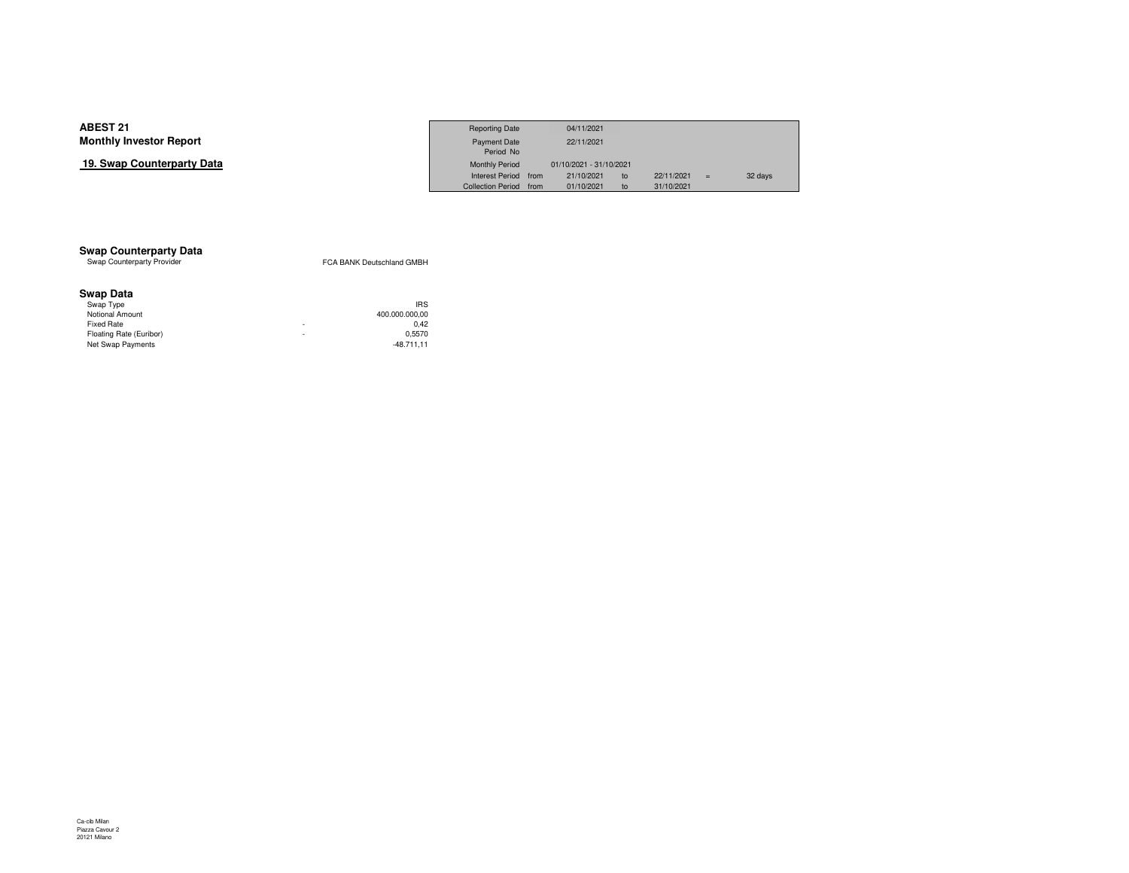### **19. Swap Counterparty Data**

|                     | <b>Reporting Date</b>    |      | 04/11/2021              |    |            |     |         |
|---------------------|--------------------------|------|-------------------------|----|------------|-----|---------|
| Investor Report     | Payment Date             |      | 22/11/2021              |    |            |     |         |
|                     | Period No                |      |                         |    |            |     |         |
| Counterparty Data כ | <b>Monthly Period</b>    |      | 01/10/2021 - 31/10/2021 |    |            |     |         |
|                     | <b>Interest Period</b>   | from | 21/10/2021              | to | 22/11/2021 | $=$ | 32 days |
|                     | <b>Collection Period</b> | from | 01/10/2021              | to | 31/10/2021 |     |         |

## **Swap Counterparty Data**<br>Swap Counterparty Provider

FCA BANK Deutschland GMBH

#### **Swap Data**

|   | <b>IRS</b>     |
|---|----------------|
|   | 400.000.000.00 |
| ۰ | 0.42           |
| ٠ | 0.5570         |
|   | $-48.711.11$   |
|   |                |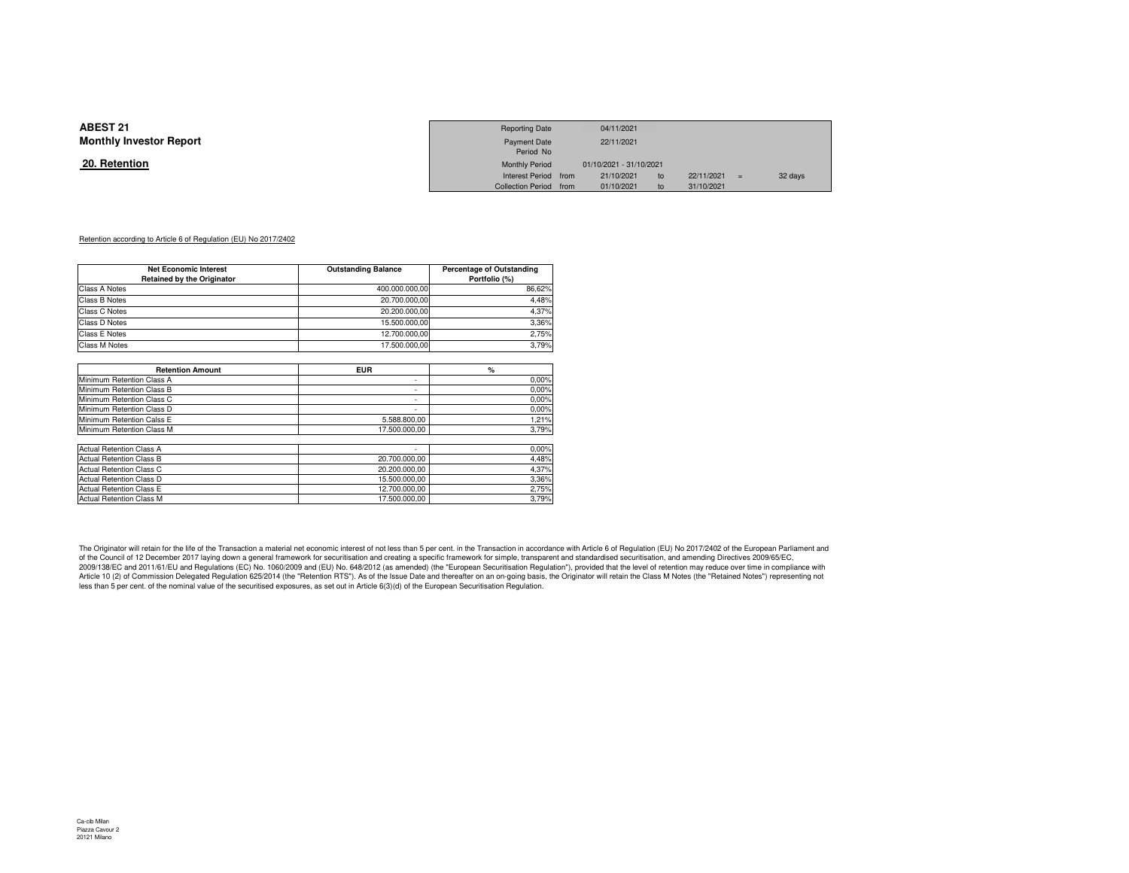#### **20. Retention**

|                 | <b>Reporting Date</b>  | 04/11/2021              |    |            |         |
|-----------------|------------------------|-------------------------|----|------------|---------|
| Investor Report | <b>Payment Date</b>    | 22/11/2021              |    |            |         |
|                 | Period No              |                         |    |            |         |
| <u>ntion</u>    | <b>Monthly Period</b>  | 01/10/2021 - 31/10/2021 |    |            |         |
|                 | Interest Period from   | 21/10/2021              | to | 22/11/2021 | 32 days |
|                 | Collection Period from | 01/10/2021              | to | 31/10/2021 |         |

#### Retention according to Article 6 of Regulation (EU) No 2017/2402

| <b>Net Economic Interest</b>      | <b>Outstanding Balance</b> | <b>Percentage of Outstanding</b> |  |  |  |
|-----------------------------------|----------------------------|----------------------------------|--|--|--|
| <b>Retained by the Originator</b> |                            | Portfolio (%)                    |  |  |  |
| Class A Notes                     | 400.000.000.00             | 86.62%                           |  |  |  |
| Class B Notes                     | 20.700.000.00              | 4.48%                            |  |  |  |
| Class C Notes                     | 20.200.000.00              | 4.37%                            |  |  |  |
| Class D Notes                     | 15.500.000.00              | 3.36%                            |  |  |  |
| <b>Class E Notes</b>              | 12.700.000.00              | 2.75%                            |  |  |  |
| <b>Class M Notes</b>              | 17.500.000.00              | 3.79%                            |  |  |  |
|                                   |                            |                                  |  |  |  |

| ۰<br>۰<br>۰ | 0.00%<br>0.00%                                                                                                     |
|-------------|--------------------------------------------------------------------------------------------------------------------|
|             |                                                                                                                    |
|             |                                                                                                                    |
|             | 0.00%                                                                                                              |
| ۰           | 0.00%                                                                                                              |
|             | 1.21%                                                                                                              |
|             | 3,79%                                                                                                              |
|             |                                                                                                                    |
| ۰           | 0.00%                                                                                                              |
|             | 4,48%                                                                                                              |
|             | 4.37%                                                                                                              |
|             | 3,36%                                                                                                              |
|             | 2.75%                                                                                                              |
|             | 3.79%                                                                                                              |
|             | 5.588.800.00<br>17.500.000.00<br>20.700.000.00<br>20.200.000.00<br>15.500.000.00<br>12.700.000.00<br>17.500.000.00 |

The Originator will retain for the life of the Transaction a material net economic interest of not less than 5 per cent. in the Transaction in accordance with Article 6 of Regulation (EU) No 2017/2402 of the European Parli 2009/138/EC and 2011/61/EU and Regulations (EC) No. 1060/2009 and (EU) No. 648/2012 (as amended) (the "European Securitisation Regulation"), provided that the level of retention may reduce over time in compliance with Article 10 (2) of Commission Delegated Regulation 625/2014 (the "Retention RTS"). As of the Issue Date and thereafter on an on-going basis, the Originator will retain the Class M Notes (the "Retained Notes") representing n less than 5 per cent. of the nominal value of the securitised exposures, as set out in Article 6(3)(d) of the European Securitisation Regulation.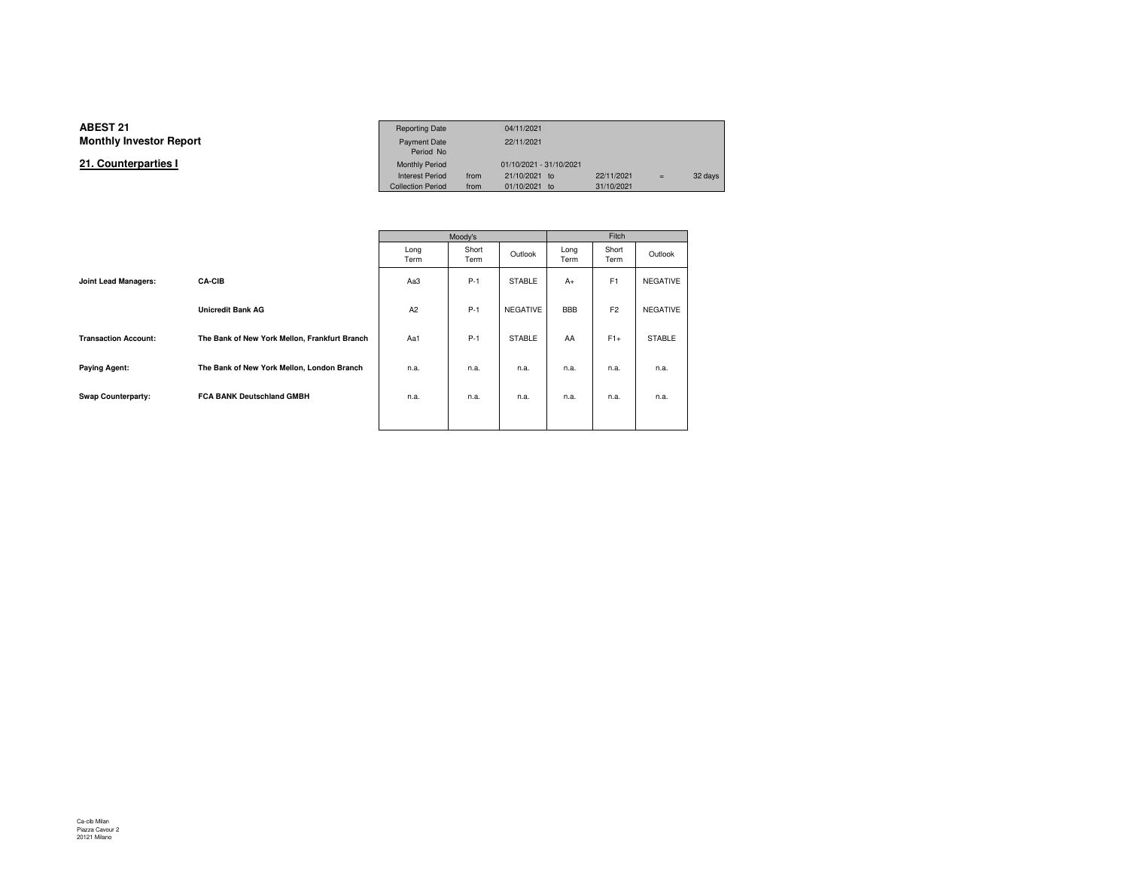#### **ABEST 211** Reporting Date 04/11/2021 **Monthly Investor Report**Payment Date 22/11/2021 Period NoMonthly Period **21. Counterparties I**01/10/2021 - 31/10/2021<br>21/10/2021 to Interest Period from 21/10/2021 to 22/11/2021 = 32 days<br>Collection Period from 01/10/2021 to 31/10/2021 Collection Period from

|                             |                                               |                | Moody's       |                 | Fitch        |                |                 |  |
|-----------------------------|-----------------------------------------------|----------------|---------------|-----------------|--------------|----------------|-----------------|--|
|                             |                                               | Long<br>Term   | Short<br>Term | Outlook         | Long<br>Term | Short<br>Term  | Outlook         |  |
| Joint Lead Managers:        | <b>CA-CIB</b>                                 | Aa3            | $P-1$         | <b>STABLE</b>   | $A+$         | F <sub>1</sub> | <b>NEGATIVE</b> |  |
|                             | <b>Unicredit Bank AG</b>                      | A <sub>2</sub> | $P-1$         | <b>NEGATIVE</b> | <b>BBB</b>   | F <sub>2</sub> | <b>NEGATIVE</b> |  |
| <b>Transaction Account:</b> | The Bank of New York Mellon, Frankfurt Branch | Aa1            | $P-1$         | <b>STABLE</b>   | AA           | $F1+$          | <b>STABLE</b>   |  |
| <b>Paying Agent:</b>        | The Bank of New York Mellon, London Branch    | n.a.           | n.a.          | n.a.            | n.a.         | n.a.           | n.a.            |  |
| Swap Counterparty:          | FCA BANK Deutschland GMBH                     | n.a.           | n.a.          | n.a.            | n.a.         | n.a.           | n.a.            |  |
|                             |                                               |                |               |                 |              |                |                 |  |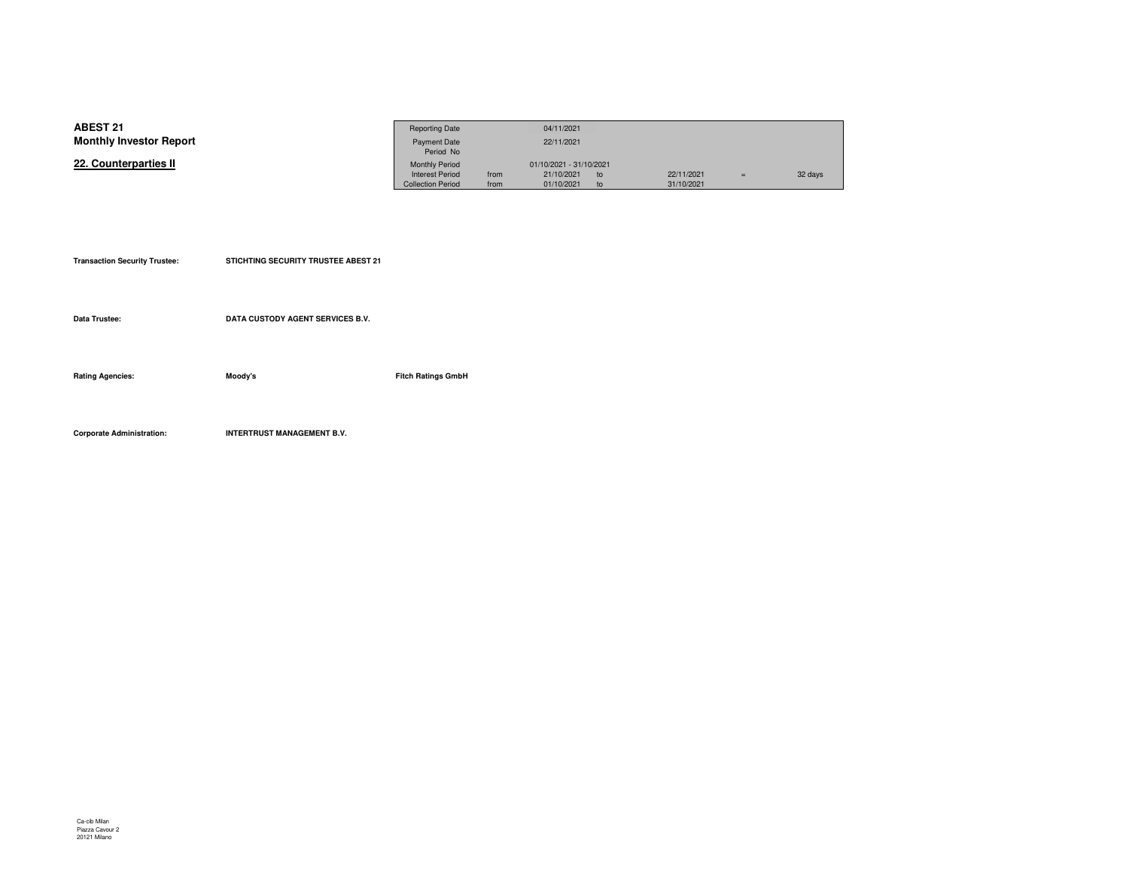| <b>ABEST 21</b>                | <b>Reporting Date</b>    |      | 04/11/2021              |    |            |     |         |
|--------------------------------|--------------------------|------|-------------------------|----|------------|-----|---------|
| <b>Monthly Investor Report</b> | <b>Payment Date</b>      |      | 22/11/2021              |    |            |     |         |
|                                | Period No                |      |                         |    |            |     |         |
| 22. Counterparties II          | <b>Monthly Period</b>    |      | 01/10/2021 - 31/10/2021 |    |            |     |         |
|                                | <b>Interest Period</b>   | from | 21/10/2021              | to | 22/11/2021 | $=$ | 32 days |
|                                | <b>Collection Period</b> | from | 01/10/2021              |    | 31/10/2021 |     |         |

| <b>Transaction Security Trustee:</b> | STICHTING SECURITY TRUSTEE ABEST 21 |                           |
|--------------------------------------|-------------------------------------|---------------------------|
| Data Trustee:                        | DATA CUSTODY AGENT SERVICES B.V.    |                           |
| <b>Rating Agencies:</b>              | Moody's                             | <b>Fitch Ratings GmbH</b> |

**Corporate Administration: INTERTRUST MANAGEMENT B.V.**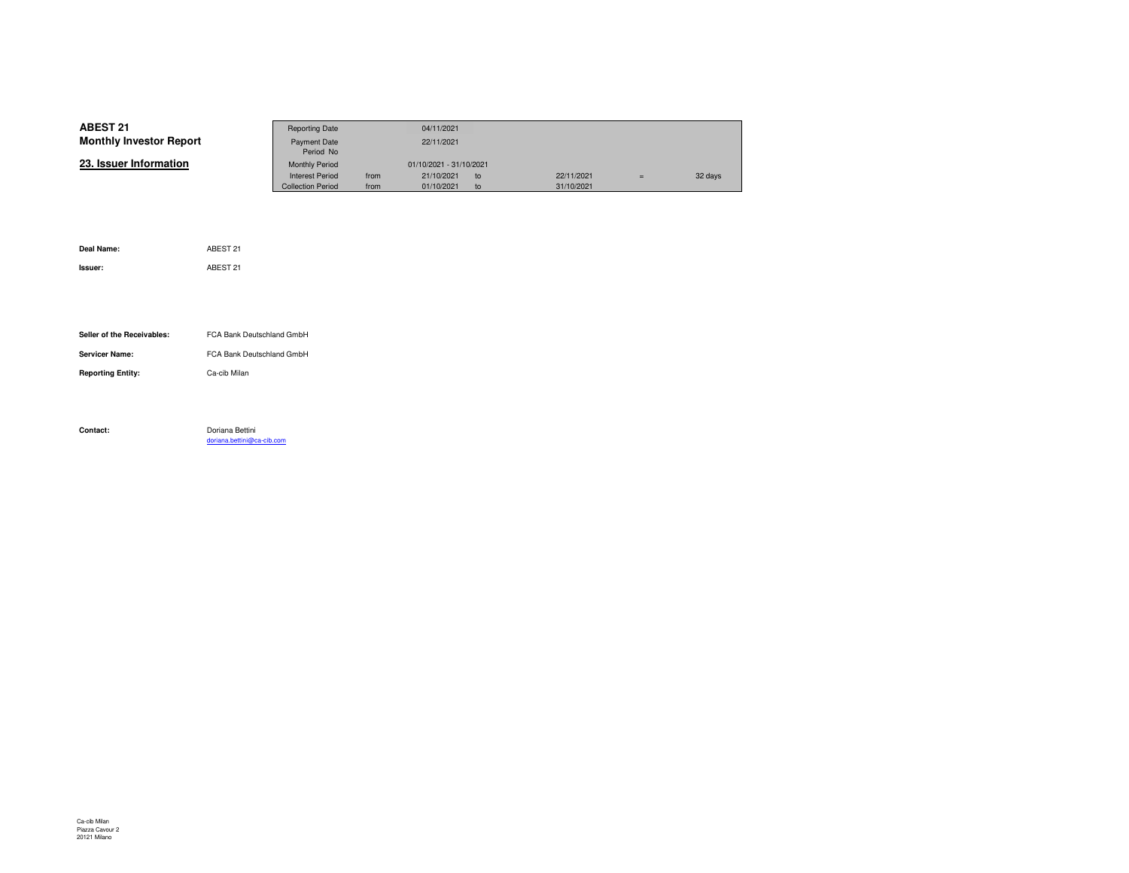| <b>ABEST 21</b>                | <b>Reporting Date</b>    |      | 04/11/2021              |    |            |     |         |
|--------------------------------|--------------------------|------|-------------------------|----|------------|-----|---------|
| <b>Monthly Investor Report</b> | Payment Date             |      | 22/11/2021              |    |            |     |         |
|                                | Period No                |      |                         |    |            |     |         |
| 23. Issuer Information         | <b>Monthly Period</b>    |      | 01/10/2021 - 31/10/2021 |    |            |     |         |
|                                | <b>Interest Period</b>   | from | 21/10/2021              | to | 22/11/2021 | $=$ | 32 days |
|                                | <b>Collection Period</b> | from | 01/10/2021              | to | 31/10/2021 |     |         |

| Deal Name:                 | ABEST 21                                      |
|----------------------------|-----------------------------------------------|
| Issuer:                    | ABEST 21                                      |
|                            |                                               |
|                            |                                               |
|                            |                                               |
| Seller of the Receivables: | FCA Bank Deutschland GmbH                     |
| <b>Servicer Name:</b>      | FCA Bank Deutschland GmbH                     |
| <b>Reporting Entity:</b>   | Ca-cib Milan                                  |
|                            |                                               |
|                            |                                               |
| Contact:                   | Doriana Bettini<br>doriana.bettini@ca-cib.com |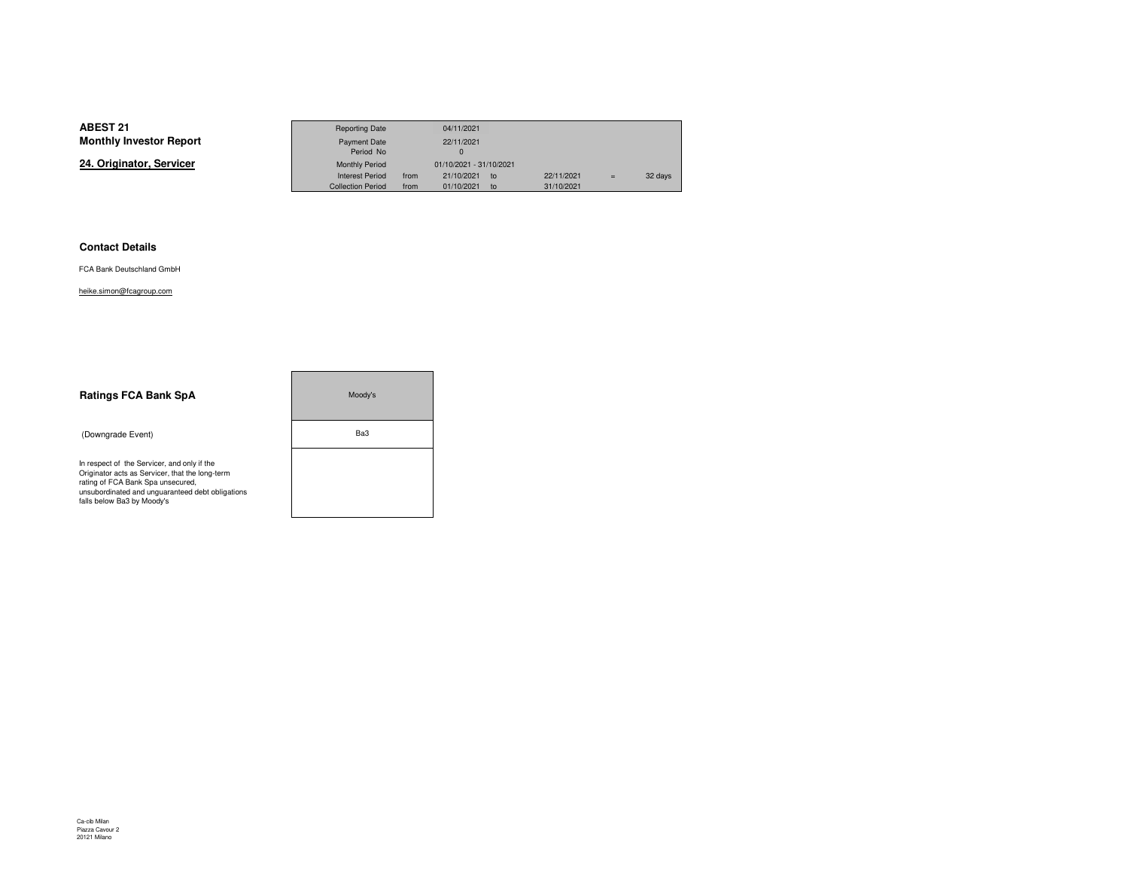**24. Originator, Servicer**

|                 | <b>Reporting Date</b>    |      | 04/11/2021                    |    |            |     |         |
|-----------------|--------------------------|------|-------------------------------|----|------------|-----|---------|
| Investor Report | Payment Date             |      | 22/11/2021                    |    |            |     |         |
|                 | Period No                |      |                               |    |            |     |         |
| าator. Servicer | <b>Monthly Period</b>    |      | 01/10/2021 - 31/10/2021       |    |            |     |         |
|                 | <b>Interest Period</b>   | from | 21/10/2021<br>10 <sub>o</sub> |    | 22/11/2021 | $=$ | 32 days |
|                 | <b>Collection Period</b> | from | 01/10/2021                    | to | 31/10/2021 |     |         |

۰

#### **Contact Details**

FCA Bank Deutschland GmbH

heike.simon@fcagroup.com

| <b>Ratings FCA Bank SpA</b>                                                                                                                                                                                           | Moody's |  |  |  |
|-----------------------------------------------------------------------------------------------------------------------------------------------------------------------------------------------------------------------|---------|--|--|--|
| (Downgrade Event)                                                                                                                                                                                                     | Ba3     |  |  |  |
| In respect of the Servicer, and only if the<br>Originator acts as Servicer, that the long-term<br>rating of FCA Bank Spa unsecured,<br>unsubordinated and unquaranteed debt obligations<br>falls below Ba3 by Moody's |         |  |  |  |